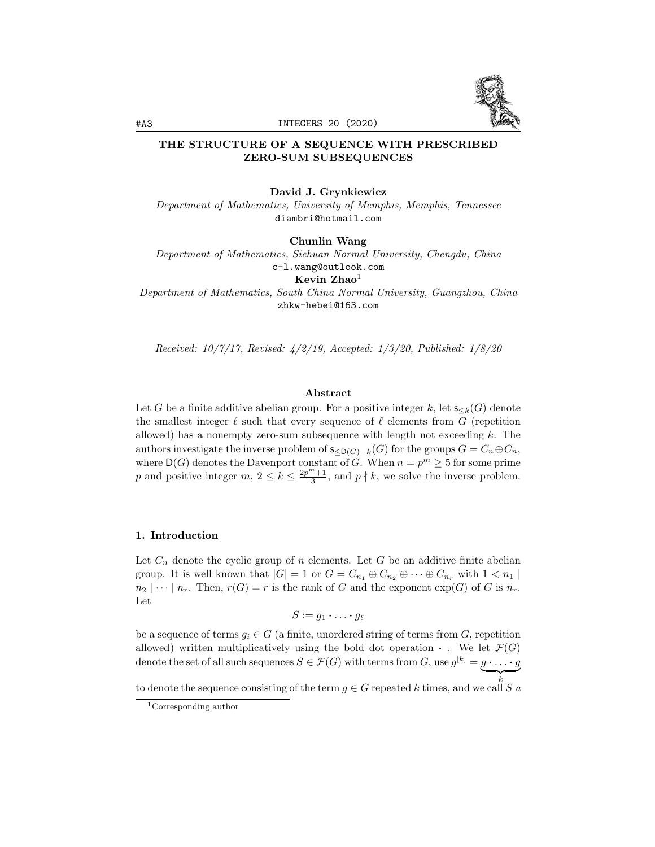

## THE STRUCTURE OF A SEQUENCE WITH PRESCRIBED ZERO-SUM SUBSEQUENCES

#### David J. Grynkiewicz

*Department of Mathematics, University of Memphis, Memphis, Tennessee* diambri@hotmail.com

Chunlin Wang

*Department of Mathematics, Sichuan Normal University, Chengdu, China* c-l.wang@outlook.com

Kevin  $Zhao<sup>1</sup>$ 

*Department of Mathematics, South China Normal University, Guangzhou, China* zhkw-hebei@163.com

*Received: 10/7/17, Revised: 4/2/19, Accepted: 1/3/20, Published: 1/8/20*

## Abstract

Let *G* be a finite additive abelian group. For a positive integer *k*, let  $s_{k}(G)$  denote the smallest integer  $\ell$  such that every sequence of  $\ell$  elements from *G* (repetition allowed) has a nonempty zero-sum subsequence with length not exceeding *k*. The authors investigate the inverse problem of  $s_{\langle D(G)-k}(G)$  for the groups  $G = C_n \oplus C_n$ , where  $D(G)$  denotes the Davenport constant of *G*. When  $n = p^m \geq 5$  for some prime *p* and positive integer *m*,  $2 \le k \le \frac{2p^m+1}{3}$ , and  $p \nmid k$ , we solve the inverse problem.

#### 1. Introduction

Let  $C_n$  denote the cyclic group of *n* elements. Let  $G$  be an additive finite abelian group. It is well known that  $|G| = 1$  or  $G = C_{n_1} \oplus C_{n_2} \oplus \cdots \oplus C_{n_r}$  with  $1 < n_1$  $n_2$   $|\cdots|$  *n<sub>r</sub>*. Then,  $r(G) = r$  is the rank of *G* and the exponent  $exp(G)$  of *G* is  $n_r$ . Let

$$
S:=g_1\boldsymbol{\cdot}\ldots\boldsymbol{\cdot} g_{\ell}
$$

be a sequence of terms  $g_i \in G$  (a finite, unordered string of terms from  $G$ , repetition allowed) written multiplicatively using the bold dot operation  $\cdot$ . We let  $\mathcal{F}(G)$ denote the set of all such sequences  $S \in \mathcal{F}(G)$  with terms from  $G$ , use  $g^{[k]} = g \cdot \ldots \cdot g$ 

to denote the sequence consisting of the term  $g \in G$  repeated *k* times, and we call *S a* 

<sup>1</sup>Corresponding author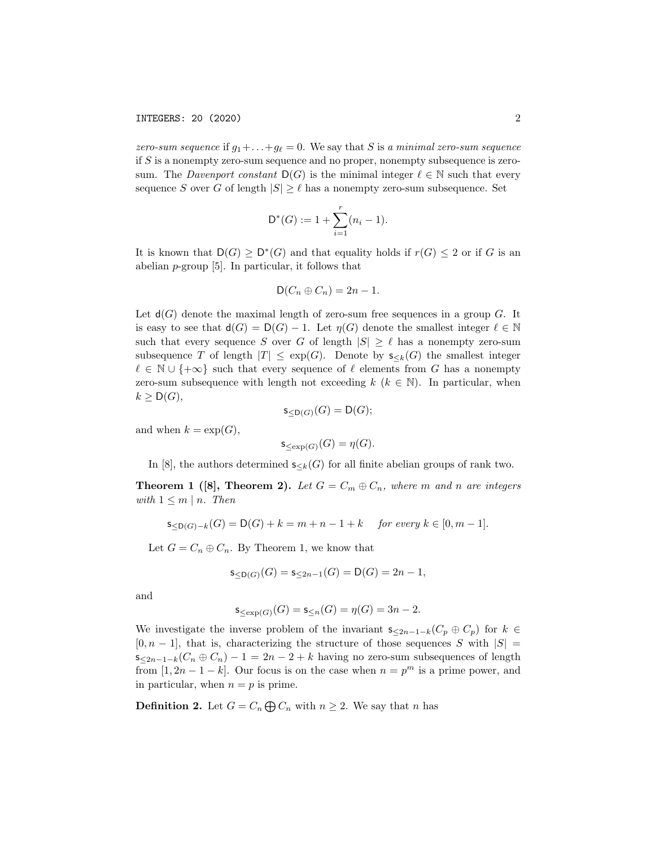*zero-sum sequence* if  $g_1 + \ldots + g_\ell = 0$ . We say that *S* is *a minimal zero-sum sequence* if *S* is a nonempty zero-sum sequence and no proper, nonempty subsequence is zerosum. The *Davenport* constant  $D(G)$  is the minimal integer  $\ell \in \mathbb{N}$  such that every sequence *S* over *G* of length  $|S| \geq \ell$  has a nonempty zero-sum subsequence. Set

$$
\mathsf{D}^*(G) := 1 + \sum_{i=1}^r (n_i - 1).
$$

It is known that  $D(G) \ge D^*(G)$  and that equality holds if  $r(G) \le 2$  or if *G* is an abelian *p*-group [5]. In particular, it follows that

$$
D(C_n \oplus C_n) = 2n - 1.
$$

Let  $d(G)$  denote the maximal length of zero-sum free sequences in a group  $G$ . It is easy to see that  $d(G) = D(G) - 1$ . Let  $\eta(G)$  denote the smallest integer  $\ell \in \mathbb{N}$ such that every sequence *S* over *G* of length  $|S| \geq \ell$  has a nonempty zero-sum subsequence *T* of length  $|T| \leq \exp(G)$ . Denote by  $s_{\leq k}(G)$  the smallest integer  $\ell \in \mathbb{N} \cup \{+\infty\}$  such that every sequence of  $\ell$  elements from *G* has a nonempty zero-sum subsequence with length not exceeding  $k$  ( $k \in \mathbb{N}$ ). In particular, when  $k \geq \mathsf{D}(G)$ ,

$$
\mathsf{s}_{\leq \mathsf{D}(G)}(G) = \mathsf{D}(G);
$$

and when  $k = \exp(G)$ ,

$$
\mathsf{s}_{\le \exp(G)}(G) = \eta(G).
$$

In [8], the authors determined  $s_{< k}(G)$  for all finite abelian groups of rank two.

**Theorem 1** ([8], **Theorem 2).** Let  $G = C_m \oplus C_n$ , where m and n are integers *with*  $1 \leq m \mid n$ *. Then* 

$$
\mathsf{s}_{\leq \mathsf{D}(G)-k}(G) = \mathsf{D}(G) + k = m + n - 1 + k \quad \text{for every } k \in [0, m-1].
$$

Let  $G = C_n \oplus C_n$ . By Theorem 1, we know that

$$
\mathsf{s}_{\leq \mathsf{D}(G)}(G) = \mathsf{s}_{\leq 2n-1}(G) = \mathsf{D}(G) = 2n-1,
$$

and

$$
\mathsf{s}_{\le \exp(G)}(G)=\mathsf{s}_{\le n}(G)=\eta(G)=3n-2.
$$

We investigate the inverse problem of the invariant  $s_{\leq 2n-1-k}(C_p \oplus C_p)$  for  $k \in$  $[0, n - 1]$ , that is, characterizing the structure of those sequences *S* with  $|S|$  $s_{\leq 2n-1-k}(C_n \oplus C_n) - 1 = 2n - 2 + k$  having no zero-sum subsequences of length from  $[1, 2n - 1 - k]$ . Our focus is on the case when  $n = p^m$  is a prime power, and in particular, when  $n = p$  is prime.

**Definition 2.** Let  $G = C_n \bigoplus C_n$  with  $n \geq 2$ . We say that *n* has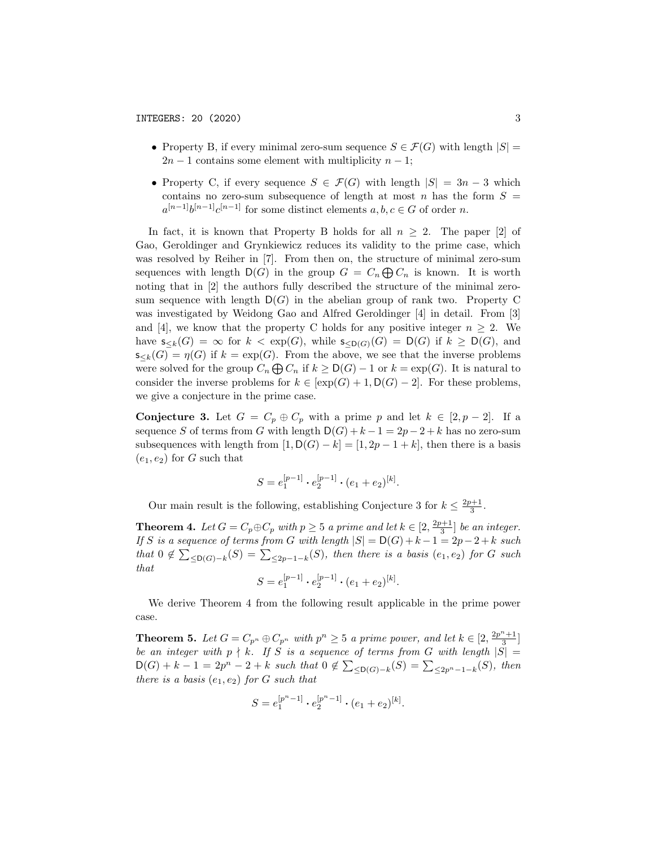- Property B, if every minimal zero-sum sequence  $S \in \mathcal{F}(G)$  with length  $|S|$  =  $2n-1$  contains some element with multiplicity  $n-1$ ;
- Property C, if every sequence  $S \in \mathcal{F}(G)$  with length  $|S| = 3n 3$  which contains no zero-sum subsequence of length at most *n* has the form  $S =$  $a^{[n-1]}b^{[n-1]}c^{[n-1]}$  for some distinct elements  $a, b, c \in G$  of order *n*.

In fact, it is known that Property B holds for all  $n \geq 2$ . The paper [2] of Gao, Geroldinger and Grynkiewicz reduces its validity to the prime case, which was resolved by Reiher in [7]. From then on, the structure of minimal zero-sum sequences with length  $D(G)$  in the group  $G = C_n \bigoplus C_n$  is known. It is worth noting that in [2] the authors fully described the structure of the minimal zerosum sequence with length  $D(G)$  in the abelian group of rank two. Property C was investigated by Weidong Gao and Alfred Geroldinger [4] in detail. From [3] and [4], we know that the property C holds for any positive integer  $n \geq 2$ . We have  $\mathsf{s}_{\leq k}(G) = \infty$  for  $k < \exp(G)$ , while  $\mathsf{s}_{\leq D(G)}(G) = D(G)$  if  $k \geq D(G)$ , and  $\mathsf{s}_{\leq k}(G) = \eta(G)$  if  $k = \exp(G)$ . From the above, we see that the inverse problems were solved for the group  $C_n \bigoplus C_n$  if  $k \ge D(G) - 1$  or  $k = \exp(G)$ . It is natural to consider the inverse problems for  $k \in [\exp(G) + 1, \mathsf{D}(G) - 2]$ . For these problems, we give a conjecture in the prime case.

**Conjecture 3.** Let  $G = C_p \oplus C_p$  with a prime p and let  $k \in [2, p-2]$ . If a sequence *S* of terms from *G* with length  $D(G) + k - 1 = 2p - 2 + k$  has no zero-sum subsequences with length from  $[1, D(G) - k] = [1, 2p - 1 + k]$ , then there is a basis  $(e_1, e_2)$  for *G* such that

$$
S = e_1^{[p-1]} \cdot e_2^{[p-1]} \cdot (e_1 + e_2)^{[k]}.
$$

Our main result is the following, establishing Conjecture 3 for  $k \leq \frac{2p+1}{3}$ .

**Theorem 4.** Let  $G = C_p \oplus C_p$  with  $p \geq 5$  a prime and let  $k \in [2, \frac{2p+1}{3}]$  be an integer. *If S* is a sequence of *terms* from *G* with length  $|S| = D(G) + k - 1 = 2p - 2 + k$  such  $that$   $0 \notin \sum_{\leq D(G)-k} (S) = \sum_{\leq 2p-1-k} (S)$ , then there is a basis  $(e_1, e_2)$  for *G* such *that*

$$
S = e_1^{[p-1]} \cdot e_2^{[p-1]} \cdot (e_1 + e_2)^{[k]}.
$$

We derive Theorem 4 from the following result applicable in the prime power case.

**Theorem 5.** Let  $G = C_{p^n} \oplus C_{p^n}$  with  $p^n \geq 5$  a prime power, and let  $k \in [2, \frac{2p^n+1}{3}]$ be an integer with  $p \nmid k$ . If S is a sequence of terms from  $G$  with length  $|S| =$  $D(G) + k - 1 = 2p^{n} - 2 + k$  *such that*  $0 \notin \sum_{\leq D(G)-k} (S) = \sum_{\leq 2p^{n}-1-k} (S)$ *, then there is a basis*  $(e_1, e_2)$  *for G such that* 

$$
S = e_1^{[p^n - 1]} \cdot e_2^{[p^n - 1]} \cdot (e_1 + e_2)^{[k]}.
$$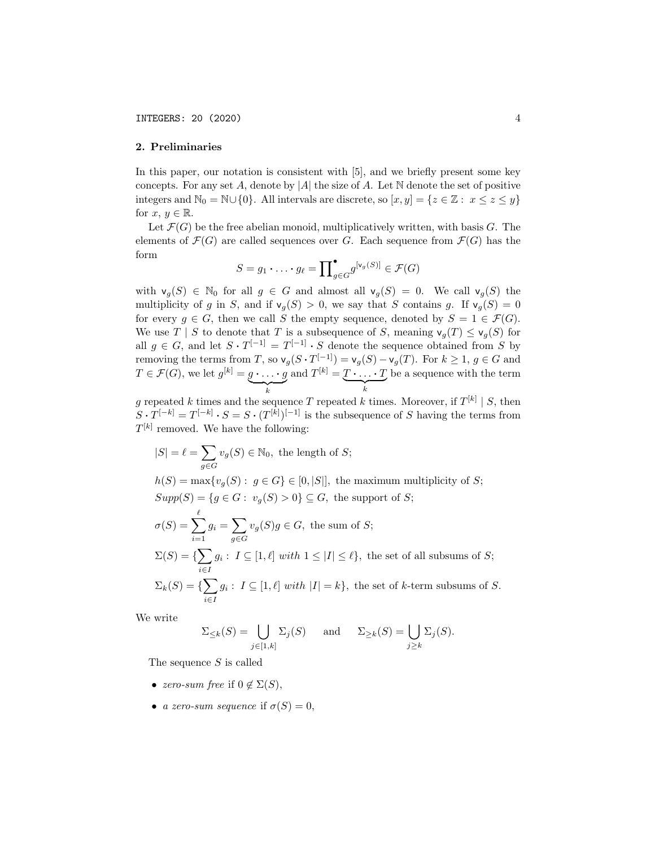#### 2. Preliminaries

In this paper, our notation is consistent with [5], and we briefly present some key concepts. For any set  $A$ , denote by  $|A|$  the size of  $A$ . Let  $\mathbb N$  denote the set of positive integers and  $\mathbb{N}_0 = \mathbb{N} \cup \{0\}$ . All intervals are discrete, so  $[x, y] = \{z \in \mathbb{Z} : x \leq z \leq y\}$ for  $x, y \in \mathbb{R}$ .

Let  $\mathcal{F}(G)$  be the free abelian monoid, multiplicatively written, with basis  $G$ . The elements of  $\mathcal{F}(G)$  are called sequences over *G*. Each sequence from  $\mathcal{F}(G)$  has the form

$$
S = g_1 \cdot \ldots \cdot g_\ell = \prod_{g \in G}^{\bullet} g^{[v_g(S)]} \in \mathcal{F}(G)
$$

with  $\mathsf{v}_g(S) \in \mathbb{N}_0$  for all  $g \in G$  and almost all  $\mathsf{v}_g(S) = 0$ . We call  $\mathsf{v}_g(S)$  the multiplicity of *g* in *S*, and if  $v_g(S) > 0$ , we say that *S* contains *g*. If  $v_g(S) = 0$ for every  $g \in G$ , then we call *S* the empty sequence, denoted by  $S = 1 \in \mathcal{F}(G)$ . We use *T* | *S* to denote that *T* is a subsequence of *S*, meaning  $\mathsf{v}_q(T) \leq \mathsf{v}_q(S)$  for all  $g \in G$ , and let  $S \cdot T^{[-1]} = T^{[-1]} \cdot S$  denote the sequence obtained from *S* by removing the terms from *T*, so  $\mathsf{v}_g(S \cdot T^{[-1]}) = \mathsf{v}_g(S) - \mathsf{v}_g(T)$ . For  $k \geq 1, g \in G$  and  $T \in \mathcal{F}(G)$ , we let  $g^{[k]} = \underbrace{g \cdot \ldots \cdot g}_{k}$  and  $T^{[k]} = \underbrace{T \cdot \ldots \cdot T}_{k}$  be a sequence with the term

*g* repeated *k* times and the sequence *T* repeated *k* times. Moreover, if  $T^{[k]} \mid S$ , then  $S \cdot T^{[-k]} = T^{[-k]} \cdot S = S \cdot (T^{[k]})^{[-1]}$  is the subsequence of *S* having the terms from  $T^{[k]}$  removed. We have the following:

$$
|S| = \ell = \sum_{g \in G} v_g(S) \in \mathbb{N}_0
$$
, the length of S;

 $h(S) = \max\{v_g(S): g \in G\} \in [0, |S|]$ , the maximum multiplicity of *S*;  $Supp(S) = \{ g \in G : v_g(S) > 0 \} \subseteq G$ , the support of *S*;

$$
\sigma(S) = \sum_{i=1}^{\ell} g_i = \sum_{g \in G} v_g(S)g \in G, \text{ the sum of } S;
$$
  

$$
\Sigma(S) = \{ \sum_{i \in I} g_i : I \subseteq [1, \ell] \text{ with } 1 \le |I| \le \ell \}, \text{ the set of all subsums of } S;
$$
  

$$
\Sigma_k(S) = \{ \sum_{i \in I} g_i : I \subseteq [1, \ell] \text{ with } |I| = k \}, \text{ the set of } k \text{-term subsums of } S.
$$

We write

$$
\Sigma_{\leq k}(S) = \bigcup_{j \in [1,k]} \Sigma_j(S) \quad \text{and} \quad \Sigma_{\geq k}(S) = \bigcup_{j \geq k} \Sigma_j(S).
$$

The sequence *S* is called

- *zero-sum free* if  $0 \notin \Sigma(S)$ ,
- *a zero-sum sequence* if  $\sigma(S) = 0$ ,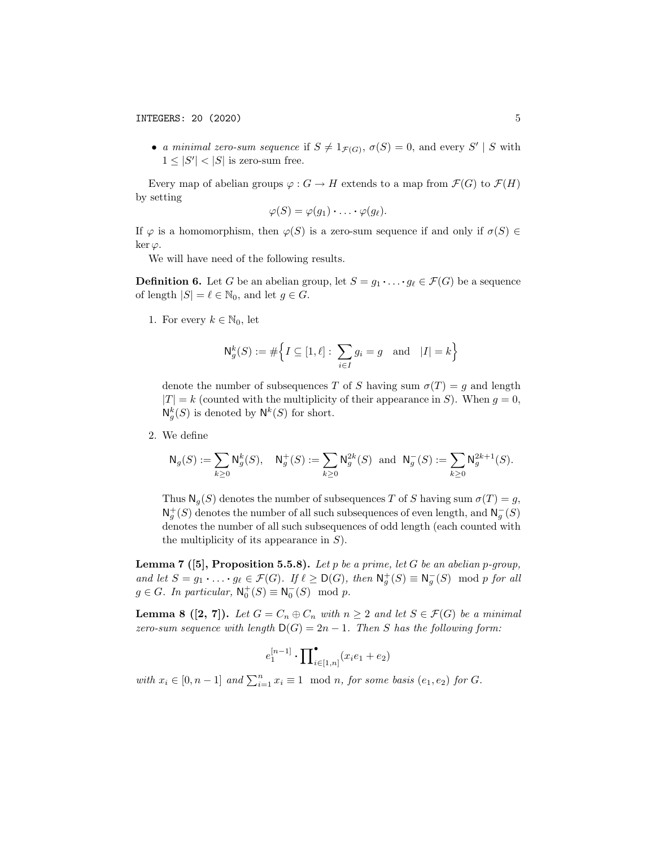• *a minimal zero-sum sequence* if  $S \neq 1_{\mathcal{F}(G)}$ ,  $\sigma(S) = 0$ , and every  $S' | S$  with  $1 \leq |S'| < |S|$  is zero-sum free.

Every map of abelian groups  $\varphi : G \to H$  extends to a map from  $\mathcal{F}(G)$  to  $\mathcal{F}(H)$ by setting

$$
\varphi(S)=\varphi(g_1)\cdot\ldots\cdot\varphi(g_\ell).
$$

If  $\varphi$  is a homomorphism, then  $\varphi(S)$  is a zero-sum sequence if and only if  $\sigma(S) \in$ ker $\varphi$ .

We will have need of the following results.

**Definition 6.** Let *G* be an abelian group, let  $S = g_1 \cdot \ldots \cdot g_\ell \in \mathcal{F}(G)$  be a sequence of length  $|S| = \ell \in \mathbb{N}_0$ , and let  $g \in G$ .

1. For every  $k \in \mathbb{N}_0$ , let

$$
\mathsf{N}_g^k(S) := \# \Big\{ I \subseteq [1,\ell]: \sum_{i \in I} g_i = g \text{ and } |I| = k \Big\}
$$

denote the number of subsequences *T* of *S* having sum  $\sigma(T) = g$  and length  $|T| = k$  (counted with the multiplicity of their appearance in *S*). When  $g = 0$ ,  $N_g^k(S)$  is denoted by  $N^k(S)$  for short.

2. We define

$$
\mathsf{N}_g(S) := \sum_{k \ge 0} \mathsf{N}_g^k(S), \quad \mathsf{N}_g^+(S) := \sum_{k \ge 0} \mathsf{N}_g^{2k}(S) \text{ and } \mathsf{N}_g^-(S) := \sum_{k \ge 0} \mathsf{N}_g^{2k+1}(S).
$$

Thus  $N_q(S)$  denotes the number of subsequences *T* of *S* having sum  $\sigma(T) = g$ ,  $\mathsf{N}_g^+(S)$  denotes the number of all such subsequences of even length, and  $\mathsf{N}_g^-(S)$ denotes the number of all such subsequences of odd length (each counted with the multiplicity of its appearance in *S*).

Lemma 7 ([5], Proposition 5.5.8). *Let p be a prime, let G be an abelian p-group,* and let  $S = g_1 \cdot \ldots \cdot g_\ell \in \mathcal{F}(G)$ . If  $\ell \geq \mathsf{D}(G)$ , then  $\mathsf{N}_g^+(S) \equiv \mathsf{N}_g^-(S) \mod p$  for all  $g \in G$ *. In particular,*  $\mathsf{N}_0^+(S) \equiv \mathsf{N}_0^-(S) \mod p$ *.* 

**Lemma 8** ([2, 7]). Let  $G = C_n \oplus C_n$  with  $n \geq 2$  and let  $S \in \mathcal{F}(G)$  be a minimal *zero-sum sequence with length*  $D(G) = 2n - 1$ *. Then S has the following form:* 

$$
e_1^{[n-1]} \boldsymbol{\cdot} \prod\nolimits_{i \in [1,n]} (x_i e_1 + e_2)
$$

*with*  $x_i \in [0, n-1]$  *and*  $\sum_{i=1}^n x_i \equiv 1 \mod n$ , *for some basis*  $(e_1, e_2)$  *for G*.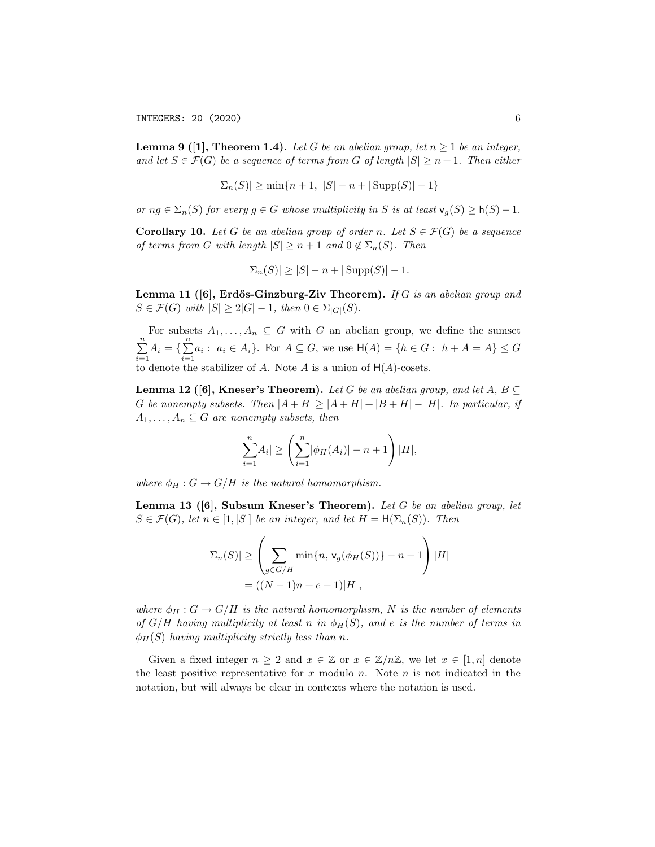**Lemma 9** ([1], **Theorem 1.4).** *Let G be an abelian group*, *let*  $n \geq 1$  *be an integer*, and let  $S \in \mathcal{F}(G)$  be a sequence of terms from G of length  $|S| \geq n+1$ . Then either

$$
|\Sigma_n(S)| \ge \min\{n+1, |S| - n + |\text{Supp}(S)| - 1\}
$$

*or*  $ng \in \Sigma_n(S)$  *for every*  $g \in G$  *whose multiplicity in S is at least*  $\mathsf{v}_g(S) \geq \mathsf{h}(S) - 1$ *.* 

**Corollary 10.** Let G be an abelian group of order *n*. Let  $S \in \mathcal{F}(G)$  be a sequence *of terms from G with length*  $|S| \geq n+1$  *and*  $0 \notin \Sigma_n(S)$ *. Then* 

$$
|\Sigma_n(S)| \ge |S| - n + |\text{Supp}(S)| - 1.
$$

Lemma 11 ([6], Erd˝os-Ginzburg-Ziv Theorem). *If G is an abelian group and*  $S \in \mathcal{F}(G)$  *with*  $|S| \geq 2|G|-1$ , *then*  $0 \in \Sigma_{|G|}(S)$ .

For subsets  $A_1, \ldots, A_n \subseteq G$  with  $G$  an abelian group, we define the sumset  $\sum_{n=1}^{\infty}$  $\sum_{i=1}^{n} A_i = \{\sum_{i=1}^{n}$  $\sum_{i=1}^{n} a_i : a_i \in A_i$ . For  $A \subseteq G$ , we use  $H(A) = \{h \in G : h + A = A\} \le G$ to denote the stabilizer of  $A$ . Note  $A$  is a union of  $H(A)$ -cosets.

**Lemma 12** ([6], Kneser's Theorem). *Let G be an abelian group, and let*  $A, B \subseteq$ G be nonempty subsets. Then  $|A + B| \ge |A + H| + |B + H| - |H|$ . In particular, if  $A_1, \ldots, A_n \subseteq G$  *are nonempty subsets, then* 

$$
|\sum_{i=1}^{n} A_i| \ge \left(\sum_{i=1}^{n} |\phi_H(A_i)| - n + 1\right)|H|,
$$

*where*  $\phi_H : G \to G/H$  *is the natural homomorphism.* 

Lemma 13 ([6], Subsum Kneser's Theorem). *Let G be an abelian group, let*  $S \in \mathcal{F}(G)$ , *let*  $n \in [1, |S|]$  *be an integer, and let*  $H = \mathsf{H}(\Sigma_n(S))$ *. Then* 

$$
|\Sigma_n(S)| \ge \left(\sum_{g \in G/H} \min\{n, \mathsf{v}_g(\phi_H(S))\} - n + 1\right)|H|
$$
  
= ((N - 1)n + e + 1)|H|,

*where*  $\phi_H : G \to G/H$  *is the natural homomorphism, N is the number of elements of*  $G/H$  *having multiplicity at least n in*  $\phi_H(S)$ *, and e is the number of terms in*  $\phi_H(S)$  *having multiplicity strictly less than n.* 

Given a fixed integer  $n \geq 2$  and  $x \in \mathbb{Z}$  or  $x \in \mathbb{Z}/n\mathbb{Z}$ , we let  $\overline{x} \in [1, n]$  denote the least positive representative for *x* modulo *n*. Note *n* is not indicated in the notation, but will always be clear in contexts where the notation is used.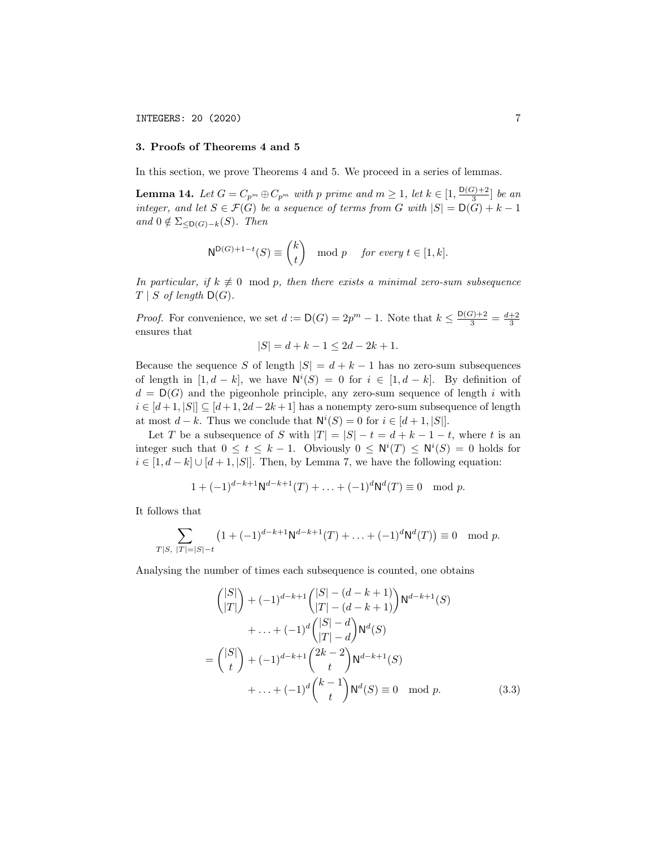#### 3. Proofs of Theorems 4 and 5

In this section, we prove Theorems 4 and 5. We proceed in a series of lemmas.

**Lemma 14.** Let  $G = C_{p^m} \oplus C_{p^m}$  with  $p$  prime and  $m \ge 1$ , let  $k \in \left[1, \frac{D(G)+2}{3}\right]$  be an *integer,* and let  $S \in \mathcal{F}(G)$  be a sequence of terms from  $G$  with  $|S| = D(G) + k - 1$  $and$   $0 \notin \Sigma_{\leq D(G)-k}(S)$ *. Then* 

$$
N^{D(G)+1-t}(S) \equiv {k \choose t} \mod p \quad \text{for every } t \in [1, k].
$$

*In particular, if*  $k \neq 0 \mod p$ *, then there exists a minimal zero-sum subsequence*  $T \mid S$  *of length*  $D(G)$ *.* 

*Proof.* For convenience, we set  $d := D(G) = 2p^m - 1$ . Note that  $k \leq \frac{D(G)+2}{3} = \frac{d+2}{3}$ ensures that

$$
|S| = d + k - 1 \le 2d - 2k + 1.
$$

Because the sequence *S* of length  $|S| = d + k - 1$  has no zero-sum subsequences of length in  $[1, d - k]$ , we have  $N^i(S) = 0$  for  $i \in [1, d - k]$ . By definition of  $d = D(G)$  and the pigeonhole principle, any zero-sum sequence of length *i* with  $i \in [d+1, |S|] \subseteq [d+1, 2d-2k+1]$  has a nonempty zero-sum subsequence of length at most  $d - k$ . Thus we conclude that  $N^{i}(S) = 0$  for  $i \in [d + 1, |S|]$ .

Let *T* be a subsequence of *S* with  $|T| = |S| - t = d + k - 1 - t$ , where *t* is an integer such that  $0 \le t \le k - 1$ . Obviously  $0 \le \mathsf{N}^i(T) \le \mathsf{N}^i(S) = 0$  holds for  $i \in [1, d-k] \cup [d+1, |S|]$ . Then, by Lemma 7, we have the following equation:

$$
1 + (-1)^{d-k+1} \mathsf{N}^{d-k+1}(T) + \ldots + (-1)^d \mathsf{N}^d(T) \equiv 0 \mod p.
$$

It follows that

$$
\sum_{T|S, |T|=|S|-t} \left(1+(-1)^{d-k+1} \mathsf{N}^{d-k+1}(T) + \ldots + (-1)^d \mathsf{N}^d(T)\right) \equiv 0 \mod p.
$$

Analysing the number of times each subsequence is counted, one obtains

$$
{|S| \choose |T|} + (-1)^{d-k+1} { |S| - (d - k + 1) \choose |T| - (d - k + 1)} N^{d-k+1}(S)
$$
  
+ ... +  $(-1)^d { |S| - d \choose |T| - d} N^d(S)$   
=  ${|S| \choose t} + (-1)^{d-k+1} {2k - 2 \choose t} N^{d-k+1}(S)$   
+ ... +  $(-1)^d {k-1 \choose t} N^d(S) \equiv 0 \mod p.$  (3.3)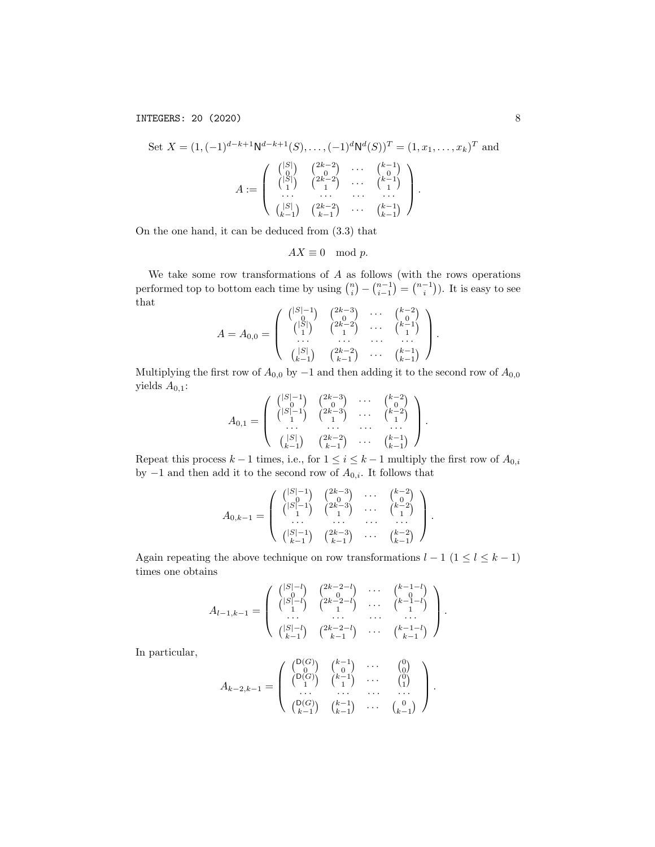Set 
$$
X = (1, (-1)^{d-k+1} N^{d-k+1}(S), \dots, (-1)^d N^d(S))^T = (1, x_1, \dots, x_k)^T
$$
 and  
\n
$$
A := \begin{pmatrix} |S| & 2k-2 & \dots & k-1 \\ |S| & 2k-2 & \dots & k-1 \\ \dots & \dots & \dots & \dots \\ |S| & 2k-2 & \dots & k-1 \\ \dots & \dots & \dots & \dots \\ |S| & 2k-1 & \dots & k-1 \end{pmatrix}.
$$

On the one hand, it can be deduced from (3.3) that

$$
AX \equiv 0 \mod p.
$$

We take some row transformations of *A* as follows (with the rows operations performed top to bottom each time by using  $\binom{n}{i} - \binom{n-1}{i-1} = \binom{n-1}{i}$ . It is easy to see that

$$
A = A_{0,0} = \left( \begin{array}{cccc} \binom{|S|-1}{0} & \binom{2k-3}{0} & \cdots & \binom{k-2}{0} \\ \binom{|S|}{1} & \binom{2k-2}{1} & \cdots & \binom{k-1}{1} \\ \cdots & \cdots & \cdots & \cdots \\ \binom{|S|}{k-1} & \binom{2k-2}{k-1} & \cdots & \binom{k-1}{k-1} \end{array} \right).
$$

Multiplying the first row of  $A_{0,0}$  by  $-1$  and then adding it to the second row of  $A_{0,0}$ yields *A*0*,*1:

$$
A_{0,1} = \left( \begin{array}{cccc} \binom{|S|-1}{0} & \binom{2k-3}{0} & \cdots & \binom{k-2}{0} \\ \binom{|S|-1}{1} & \binom{2k-3}{1} & \cdots & \binom{k-2}{1} \\ \cdots & \cdots & \cdots & \cdots & \cdots \\ \binom{|S|}{k-1} & \binom{2k-2}{k-1} & \cdots & \binom{k-1}{k-1} \end{array} \right).
$$

Repeat this process  $k-1$  times, i.e., for  $1 \leq i \leq k-1$  multiply the first row of  $A_{0,i}$ by  $-1$  and then add it to the second row of  $A_{0,i}$ . It follows that

$$
A_{0,k-1} = \left( \begin{array}{cccc} { |S|-1 \choose 0} & {2k-3 \choose 0} & \cdots & {k-2 \choose 0} \\ { |S|-1 \choose 1} & {2k-3 \choose 1} & \cdots & {k-2 \choose 1} \\ \cdots & \cdots & \cdots & \cdots \\ { |S|-1 \choose k-1} & {2k-3 \choose k-1} & \cdots & {k-2 \choose k-1} \end{array} \right).
$$

Again repeating the above technique on row transformations  $l-1$   $(1\leq l\leq k-1)$ times one obtains

$$
A_{l-1,k-1} = \left( \begin{array}{cccc} \binom{|S|-l}{0} & \binom{2k-2-l}{0} & \cdots & \binom{k-1-l}{0} \\ \binom{|S|-l}{1} & \binom{2k-2-l}{1} & \cdots & \binom{k-1-l}{1} \\ \cdots & \cdots & \cdots & \cdots \\ \binom{|S|-l}{k-1} & \binom{2k-2-l}{k-1} & \cdots & \binom{k-1-l}{k-1} \end{array} \right).
$$

In particular,

$$
A_{k-2,k-1} = \left( \begin{array}{cccc} \binom{\mathsf{D}(G)}{0} & \binom{k-1}{0} & \cdots & \binom{0}{0} \\ \binom{\mathsf{D}(G)}{1} & \binom{k-1}{1} & \cdots & \binom{0}{1} \\ \cdots & \cdots & \cdots & \cdots & \cdots \\ \binom{\mathsf{D}(G)}{k-1} & \binom{k-1}{k-1} & \cdots & \binom{0}{k-1} \end{array} \right).
$$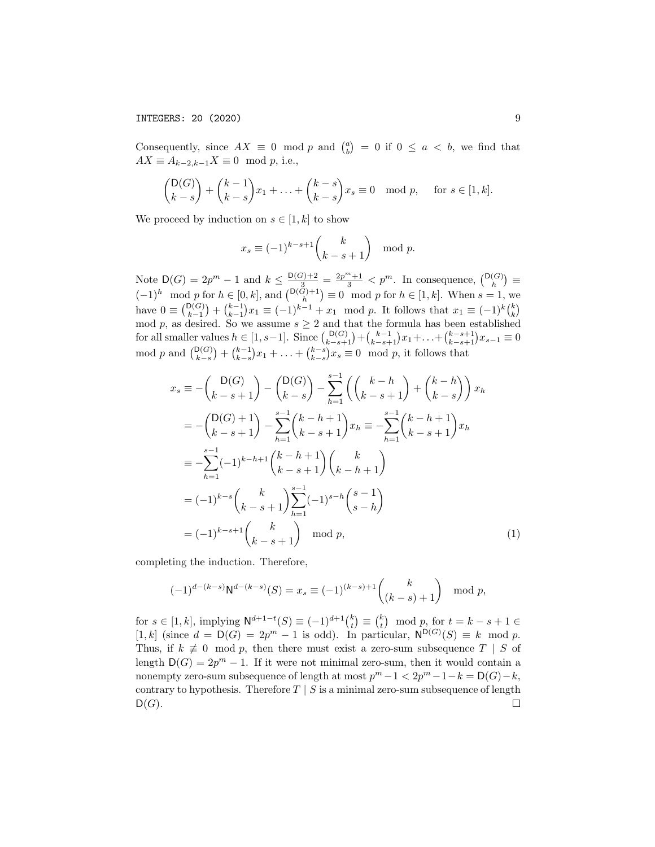Consequently, since  $AX \equiv 0 \mod p$  and  $\binom{a}{b} = 0$  if  $0 \le a < b$ , we find that  $AX \equiv A_{k-2,k-1}X \equiv 0 \mod p$ , i.e.,

$$
\binom{\mathsf{D}(G)}{k-s} + \binom{k-1}{k-s}x_1 + \ldots + \binom{k-s}{k-s}x_s \equiv 0 \mod p, \quad \text{for } s \in [1, k].
$$

We proceed by induction on  $s \in [1, k]$  to show

$$
x_s \equiv (-1)^{k-s+1} \binom{k}{k-s+1} \mod p.
$$

Note  $D(G) = 2p^m - 1$  and  $k \le \frac{D(G)+2}{2} = \frac{2p^m+1}{3} < p^m$ . In consequence,  $\binom{D(G)}{h} \equiv$  $(-1)^h \mod p$  for  $h \in [0, k]$ , and  $\binom{\mathsf{D}(G)+1}{h} \equiv 0 \mod p$  for  $h \in [1, k]$ . When  $s = 1$ , we have  $0 \equiv {D(G) \choose k-1} + {k-1 \choose k-1} x_1 \equiv (-1)^{k-1} + x_1 \mod p$ . It follows that  $x_1 \equiv (-1)^k {k \choose k}$ mod *p*, as desired. So we assume  $s \geq 2$  and that the formula has been established for all smaller values  $h \in [1, s-1]$ . Since  $\binom{D(G)}{k-s+1} + \binom{k-1}{k-s+1}x_1 + \ldots + \binom{k-s+1}{k-s+1}x_{s-1} \equiv 0$ mod *p* and  $\binom{D(G)}{k-s} + \binom{k-1}{k-s}x_1 + \ldots + \binom{k-s}{k-s}x_s \equiv 0 \mod p$ , it follows that

$$
x_s \equiv -\binom{D(G)}{k-s+1} - \binom{D(G)}{k-s} - \sum_{h=1}^{s-1} \left( \binom{k-h}{k-s+1} + \binom{k-h}{k-s} \right) x_h
$$
  
\n
$$
= -\binom{D(G)+1}{k-s+1} - \sum_{h=1}^{s-1} \binom{k-h+1}{k-s+1} x_h \equiv -\sum_{h=1}^{s-1} \binom{k-h+1}{k-s+1} x_h
$$
  
\n
$$
\equiv -\sum_{h=1}^{s-1} (-1)^{k-h+1} \binom{k-h+1}{k-s+1} \binom{k}{k-h+1}
$$
  
\n
$$
= (-1)^{k-s} \binom{k}{k-s+1} \sum_{h=1}^{s-1} (-1)^{s-h} \binom{s-1}{s-h}
$$
  
\n
$$
= (-1)^{k-s+1} \binom{k}{k-s+1} \mod p,
$$
 (1)

completing the induction. Therefore,

$$
(-1)^{d-(k-s)}\mathsf{N}^{d-(k-s)}(S) = x_s \equiv (-1)^{(k-s)+1} \binom{k}{(k-s)+1} \mod p,
$$

for  $s \in [1, k]$ , implying  $N^{d+1-t}(S) \equiv (-1)^{d+1} {k \choose t} \equiv {k \choose t} \mod p$ , for  $t = k - s + 1 \in$  $[1, k]$  (since  $d = D(G) = 2p^m - 1$  is odd). In particular,  $N^{D(G)}(S) \equiv k \mod p$ . Thus, if  $k \neq 0 \mod p$ , then there must exist a zero-sum subsequence  $T \mid S$  of length  $D(G) = 2p^m - 1$ . If it were not minimal zero-sum, then it would contain a nonempty zero-sum subsequence of length at most  $p^m - 1 < 2p^m - 1 - k = D(G) - k$ , contrary to hypothesis. Therefore  $T \mid S$  is a minimal zero-sum subsequence of length  $D(G)$ .  $D(G)$ .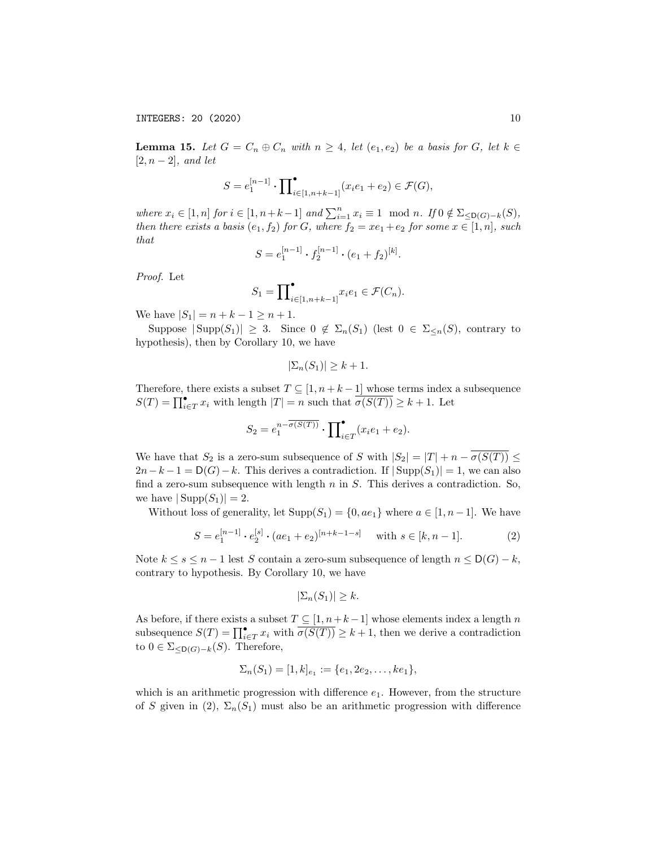**Lemma 15.** Let  $G = C_n \oplus C_n$  with  $n \geq 4$ , let  $(e_1, e_2)$  be a basis for  $G$ , let  $k \in$  $[2, n-2]$ *, and let* 

$$
S = e_1^{[n-1]} \cdot \prod_{i \in [1, n+k-1]}^{•} (x_i e_1 + e_2) \in \mathcal{F}(G),
$$

where  $x_i \in [1, n]$  for  $i \in [1, n+k-1]$  and  $\sum_{i=1}^n x_i \equiv 1 \mod n$ . If  $0 \notin \Sigma_{\leq D(G)-k}(S)$ , then there exists a basis  $(e_1, f_2)$  for G, where  $f_2 = xe_1 + e_2$  for some  $x \in [1, n]$ , such *that*

$$
S = e_1^{[n-1]} \cdot f_2^{[n-1]} \cdot (e_1 + f_2)^{[k]}.
$$

*Proof.* Let

$$
S_1 = \prod_{i \in [1, n+k-1]}^{\bullet} x_i e_1 \in \mathcal{F}(C_n).
$$

We have  $|S_1| = n + k - 1 \ge n + 1$ .

Suppose  $|\text{Supp}(S_1)| \geq 3$ . Since  $0 \notin \Sigma_n(S_1)$  (lest  $0 \in \Sigma_{\leq n}(S)$ , contrary to hypothesis), then by Corollary 10, we have

$$
|\Sigma_n(S_1)| \geq k+1.
$$

Therefore, there exists a subset  $T \subseteq [1, n+k-1]$  whose terms index a subsequence  $S(T) = \prod_{i \in T}^{\bullet} x_i$  with length  $|T| = n$  such that  $\overline{\sigma(S(T))} \ge k + 1$ . Let

$$
S_2 = e_1^{n - \overline{\sigma(S(T))}} \cdot \prod_{i \in T} (x_i e_1 + e_2).
$$

We have that  $S_2$  is a zero-sum subsequence of *S* with  $|S_2| = |T| + n - \overline{\sigma(S(T))} \le$  $2n - k - 1 = D(G) - k$ . This derives a contradiction. If  $|\text{Supp}(S_1)| = 1$ , we can also find a zero-sum subsequence with length *n* in *S*. This derives a contradiction. So, we have  $|\text{Supp}(S_1)| = 2$ .

Without loss of generality, let  $\text{Supp}(S_1) = \{0, ae_1\}$  where  $a \in [1, n-1]$ . We have

$$
S = e_1^{[n-1]} \cdot e_2^{[s]} \cdot (ae_1 + e_2)^{[n+k-1-s]} \quad \text{with } s \in [k, n-1]. \tag{2}
$$

Note  $k \leq s \leq n-1$  lest *S* contain a zero-sum subsequence of length  $n \leq D(G) - k$ , contrary to hypothesis. By Corollary 10, we have

$$
|\Sigma_n(S_1)| \geq k.
$$

As before, if there exists a subset  $T \subseteq [1, n+k-1]$  whose elements index a length  $n$ subsequence  $S(T) = \prod_{i \in T}^{\bullet} x_i$  with  $\overline{\sigma(S(T))} \geq k+1$ , then we derive a contradiction to  $0 \in \Sigma_{\leq D(G)-k}(S)$ . Therefore,

$$
\Sigma_n(S_1) = [1, k]_{e_1} := \{e_1, 2e_2, \dots, ke_1\},\
$$

which is an arithmetic progression with difference  $e_1$ . However, from the structure of *S* given in (2),  $\Sigma_n(S_1)$  must also be an arithmetic progression with difference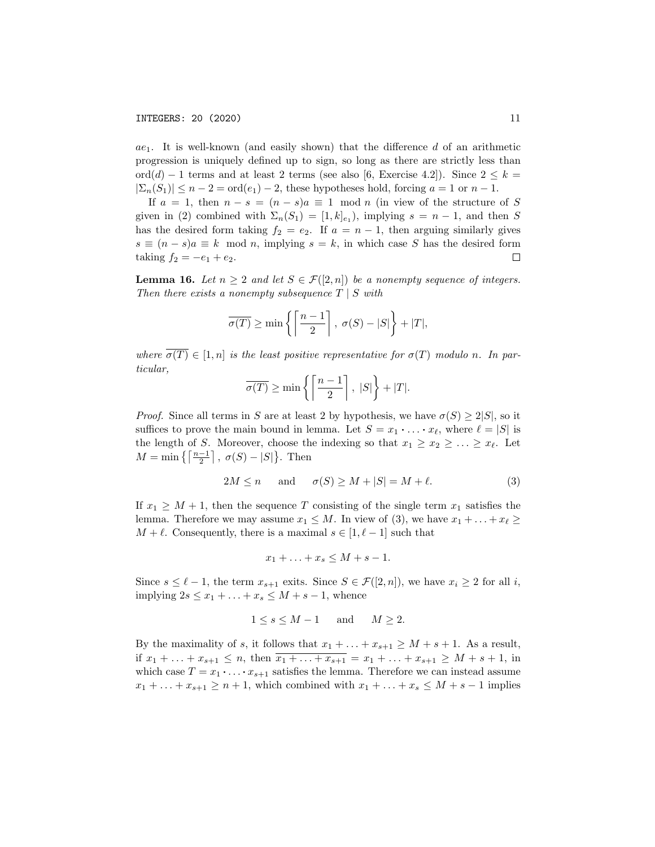*ae*<sub>1</sub>. It is well-known (and easily shown) that the difference *d* of an arithmetic progression is uniquely defined up to sign, so long as there are strictly less than ord(*d*) – 1 terms and at least 2 terms (see also [6, Exercise 4.2]). Since  $2 \leq k =$  $|\Sigma_n(S_1)| \leq n-2 = \text{ord}(e_1) - 2$ , these hypotheses hold, forcing  $a = 1$  or  $n - 1$ .

If  $a = 1$ , then  $n - s = (n - s)a \equiv 1 \mod n$  (in view of the structure of *S* given in (2) combined with  $\Sigma_n(S_1) = [1, k]_{e_1}$ , implying  $s = n - 1$ , and then *S* has the desired form taking  $f_2 = e_2$ . If  $a = n - 1$ , then arguing similarly gives  $s \equiv (n - s)a \equiv k \mod n$ , implying  $s = k$ , in which case *S* has the desired form taking  $f_2 = -e_1 + e_2$ . taking  $f_2 = -e_1 + e_2$ .

**Lemma 16.** Let  $n \geq 2$  and let  $S \in \mathcal{F}([2, n])$  be a nonempty sequence of integers. *Then there exists a nonempty subsequence T | S with*

$$
\overline{\sigma(T)} \ge \min\left\{ \left\lceil \frac{n-1}{2} \right\rceil, \sigma(S) - |S| \right\} + |T|,
$$

*where*  $\overline{\sigma(T)} \in [1, n]$  *is the least positive representative for*  $\sigma(T)$  *modulo n. In particular,*

$$
\overline{\sigma(T)} \ge \min\left\{ \left\lceil \frac{n-1}{2} \right\rceil, \ |S| \right\} + |T|.
$$

*Proof.* Since all terms in *S* are at least 2 by hypothesis, we have  $\sigma(S) \geq 2|S|$ , so it suffices to prove the main bound in lemma. Let  $S = x_1 \cdot \ldots \cdot x_\ell$ , where  $\ell = |S|$  is the length of *S*. Moreover, choose the indexing so that  $x_1 \ge x_2 \ge \ldots \ge x_\ell$ . Let  $M = \min \{ \left[ \frac{n-1}{2} \right], \sigma(S) - |S| \}.$  Then

$$
2M \le n \quad \text{and} \quad \sigma(S) \ge M + |S| = M + \ell. \tag{3}
$$

If  $x_1 \geq M + 1$ , then the sequence *T* consisting of the single term  $x_1$  satisfies the lemma. Therefore we may assume  $x_1 \leq M$ . In view of (3), we have  $x_1 + \ldots + x_\ell \geq$  $M + \ell$ . Consequently, there is a maximal  $s \in [1, \ell - 1]$  such that

$$
x_1 + \ldots + x_s \le M + s - 1.
$$

Since  $s \leq \ell - 1$ , the term  $x_{s+1}$  exits. Since  $S \in \mathcal{F}([2,n])$ , we have  $x_i \geq 2$  for all *i*, implying  $2s \leq x_1 + \ldots + x_s \leq M + s - 1$ , whence

$$
1 \le s \le M - 1 \quad \text{and} \quad M \ge 2.
$$

By the maximality of *s*, it follows that  $x_1 + \ldots + x_{s+1} \geq M + s + 1$ . As a result, if  $x_1 + \ldots + x_{s+1} \leq n$ , then  $\overline{x_1 + \ldots + x_{s+1}} = x_1 + \ldots + x_{s+1} \geq M + s + 1$ , in which case  $T = x_1 \cdot \ldots \cdot x_{s+1}$  satisfies the lemma. Therefore we can instead assume  $x_1 + \ldots + x_{s+1} \geq n+1$ , which combined with  $x_1 + \ldots + x_s \leq M + s - 1$  implies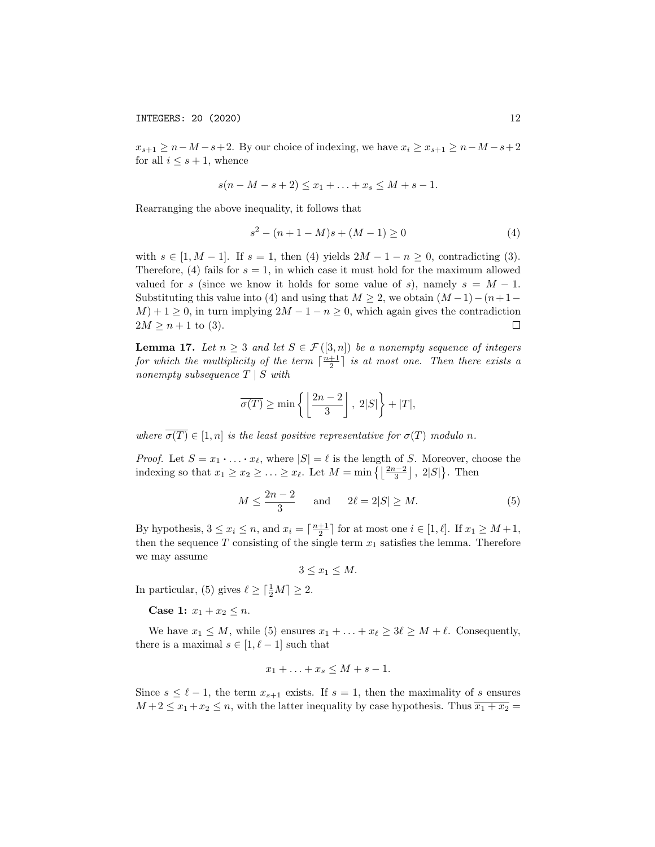$x_{s+1} \geq n-M-s+2$ . By our choice of indexing, we have  $x_i \geq x_{s+1} \geq n-M-s+2$ for all  $i \leq s + 1$ , whence

$$
s(n - M - s + 2) \le x_1 + \ldots + x_s \le M + s - 1.
$$

Rearranging the above inequality, it follows that

$$
s^2 - (n+1-M)s + (M-1) \ge 0
$$
\n(4)

with  $s \in [1, M - 1]$ . If  $s = 1$ , then (4) yields  $2M - 1 - n \ge 0$ , contradicting (3). Therefore, (4) fails for  $s = 1$ , in which case it must hold for the maximum allowed valued for *s* (since we know it holds for some value of *s*), namely  $s = M - 1$ . Substituting this value into (4) and using that  $M \geq 2$ , we obtain  $(M-1)-(n+1-1)$  $M$ ) + 1  $\geq$  0, in turn implying  $2M - 1 - n \geq 0$ , which again gives the contradiction  $2M \geq n+1$  to (3). □

**Lemma 17.** Let  $n \geq 3$  and let  $S \in \mathcal{F}([3,n])$  be a nonempty sequence of integers *for which the multiplicity of the term*  $\lceil \frac{n+1}{2} \rceil$  *is at most one. Then there exists a nonempty subsequence T | S with*

$$
\overline{\sigma(T)} \ge \min\left\{ \left\lfloor \frac{2n-2}{3} \right\rfloor, \ 2|S| \right\} + |T|,
$$

*where*  $\overline{\sigma(T)} \in [1, n]$  *is the least positive representative for*  $\sigma(T)$  *modulo n.* 

*Proof.* Let  $S = x_1 \cdot \ldots \cdot x_\ell$ , where  $|S| = \ell$  is the length of *S*. Moreover, choose the indexing so that  $x_1 \ge x_2 \ge \ldots \ge x_\ell$ . Let  $M = \min\left\{ \left\lfloor \frac{2n-2}{3} \right\rfloor, 2|S| \right\}$ . Then

$$
M \le \frac{2n-2}{3}
$$
 and  $2\ell = 2|S| \ge M.$  (5)

By hypothesis,  $3 \le x_i \le n$ , and  $x_i = \lceil \frac{n+1}{2} \rceil$  for at most one  $i \in [1, \ell]$ . If  $x_1 \ge M+1$ , then the sequence  $T$  consisting of the single term  $x_1$  satisfies the lemma. Therefore we may assume

$$
3 \le x_1 \le M.
$$

In particular, (5) gives  $\ell \geq \lceil \frac{1}{2}M \rceil \geq 2$ .

**Case 1:**  $x_1 + x_2 \leq n$ .

We have  $x_1 \leq M$ , while (5) ensures  $x_1 + \ldots + x_\ell \geq 3\ell \geq M + \ell$ . Consequently, there is a maximal  $s \in [1, \ell - 1]$  such that

$$
x_1 + \ldots + x_s \le M + s - 1.
$$

Since  $s \leq \ell - 1$ , the term  $x_{s+1}$  exists. If  $s = 1$ , then the maximality of *s* ensures  $M+2 \leq x_1+x_2 \leq n$ , with the latter inequality by case hypothesis. Thus  $\overline{x_1+x_2}$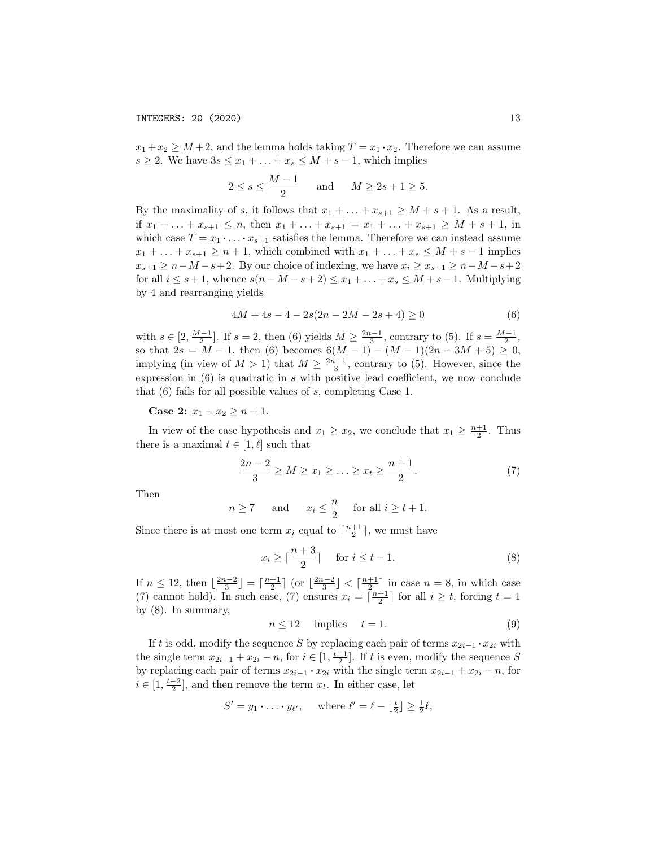$x_1 + x_2 \geq M + 2$ , and the lemma holds taking  $T = x_1 \cdot x_2$ . Therefore we can assume  $s \geq 2$ . We have  $3s \leq x_1 + \ldots + x_s \leq M + s - 1$ , which implies

$$
2 \le s \le \frac{M-1}{2} \quad \text{and} \quad M \ge 2s + 1 \ge 5.
$$

By the maximality of *s*, it follows that  $x_1 + \ldots + x_{s+1} \geq M + s + 1$ . As a result, if  $x_1 + \ldots + x_{s+1} \leq n$ , then  $\overline{x_1 + \ldots + x_{s+1}} = x_1 + \ldots + x_{s+1} \geq M + s + 1$ , in which case  $T = x_1 \cdot \ldots \cdot x_{s+1}$  satisfies the lemma. Therefore we can instead assume  $x_1 + \ldots + x_{s+1} \geq n+1$ , which combined with  $x_1 + \ldots + x_s \leq M + s - 1$  implies  $x_{s+1} \geq n-M-s+2$ . By our choice of indexing, we have  $x_i \geq x_{s+1} \geq n-M-s+2$ for all  $i \leq s+1$ , whence  $s(n-M-s+2) \leq x_1 + \ldots + x_s \leq M+s-1$ . Multiplying by 4 and rearranging yields

$$
4M + 4s - 4 - 2s(2n - 2M - 2s + 4) \ge 0
$$
\n<sup>(6)</sup>

with  $s \in [2, \frac{M-1}{2}]$ . If  $s = 2$ , then (6) yields  $M \ge \frac{2n-1}{3}$ , contrary to (5). If  $s = \frac{M-1}{2}$ , so that  $2s = M - 1$ , then (6) becomes  $6(M - 1) - (M - 1)(2n - 3M + 5) \ge 0$ , implying (in view of  $M > 1$ ) that  $M \ge \frac{2n-1}{3}$ , contrary to (5). However, since the expression in  $(6)$  is quadratic in *s* with positive lead coefficient, we now conclude that (6) fails for all possible values of *s*, completing Case 1.

**Case 2:**  $x_1 + x_2 \geq n + 1$ .

In view of the case hypothesis and  $x_1 \ge x_2$ , we conclude that  $x_1 \ge \frac{n+1}{2}$ . Thus there is a maximal  $t \in [1, \ell]$  such that

$$
\frac{2n-2}{3} \ge M \ge x_1 \ge \dots \ge x_t \ge \frac{n+1}{2}.\tag{7}
$$

Then

$$
n \ge 7
$$
 and  $x_i \le \frac{n}{2}$  for all  $i \ge t + 1$ .

Since there is at most one term  $x_i$  equal to  $\lceil \frac{n+1}{2} \rceil$ , we must have

$$
x_i \ge \lceil \frac{n+3}{2} \rceil \quad \text{for } i \le t - 1. \tag{8}
$$

If  $n \leq 12$ , then  $\lfloor \frac{2n-2}{3} \rfloor = \lceil \frac{n+1}{2} \rceil$  (or  $\lfloor \frac{2n-2}{3} \rfloor < \lceil \frac{n+1}{2} \rceil$  in case  $n = 8$ , in which case (7) cannot hold). In such case, (7) ensures  $x_i = \lceil \frac{n+1}{2} \rceil$  for all  $i \geq t$ , forcing  $t = 1$ by (8). In summary,

$$
n \le 12 \quad \text{implies} \quad t = 1. \tag{9}
$$

If *t* is odd, modify the sequence *S* by replacing each pair of terms  $x_{2i-1} \cdot x_{2i}$  with the single term  $x_{2i-1} + x_{2i} - n$ , for  $i \in [1, \frac{t-1}{2}]$ . If *t* is even, modify the sequence *S* by replacing each pair of terms  $x_{2i-1} \cdot x_{2i}$  with the single term  $x_{2i-1} + x_{2i} - n$ , for  $i \in [1, \frac{t-2}{2}]$ , and then remove the term  $x_t$ . In either case, let

$$
S' = y_1 \cdot \ldots \cdot y_{\ell'},
$$
 where  $\ell' = \ell - \lfloor \frac{t}{2} \rfloor \ge \frac{1}{2}\ell$ ,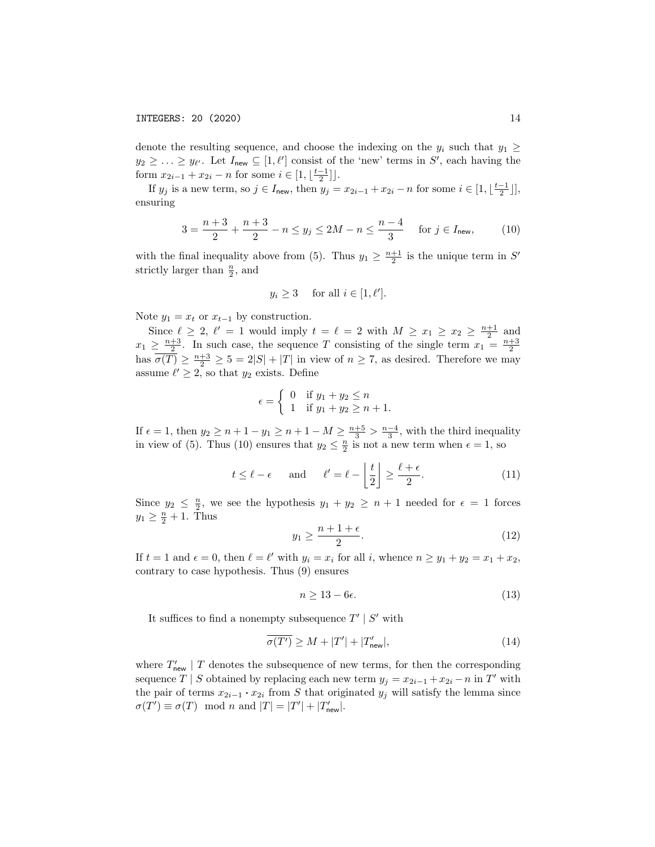denote the resulting sequence, and choose the indexing on the  $y_i$  such that  $y_1 \geq$  $y_2 \geq \ldots \geq y_{\ell'}$ . Let  $I_{\text{new}} \subseteq [1, \ell']$  consist of the 'new' terms in *S'*, each having the form  $x_{2i-1} + x_{2i} - n$  for some  $i \in [1, \lfloor \frac{t-1}{2} \rfloor]$ .

If  $y_j$  is a new term, so  $j \in I_{\text{new}}$ , then  $y_j = x_{2i-1} + x_{2i} - n$  for some  $i \in [1, \lfloor \frac{t-1}{2} \rfloor]$ , ensuring

$$
3 = \frac{n+3}{2} + \frac{n+3}{2} - n \le y_j \le 2M - n \le \frac{n-4}{3} \quad \text{for } j \in I_{\text{new}},\tag{10}
$$

with the final inequality above from (5). Thus  $y_1 \geq \frac{n+1}{2}$  is the unique term in *S'* strictly larger than  $\frac{n}{2}$ , and

$$
y_i \ge 3 \quad \text{ for all } i \in [1, \ell'].
$$

Note  $y_1 = x_t$  or  $x_{t-1}$  by construction.

Since  $\ell \geq 2$ ,  $\ell' = 1$  would imply  $t = \ell = 2$  with  $M \geq x_1 \geq x_2 \geq \frac{n+1}{2}$  and  $x_1 \geq \frac{n+3}{2}$ . In such case, the sequence *T* consisting of the single term  $x_1 = \frac{n+3}{2}$ has  $\overline{\sigma(T)} \ge \frac{n+3}{2} \ge 5 = 2|S| + |T|$  in view of  $n \ge 7$ , as desired. Therefore we may assume  $\ell' \geq 2$ , so that  $y_2$  exists. Define

$$
\epsilon = \begin{cases} 0 & \text{if } y_1 + y_2 \le n \\ 1 & \text{if } y_1 + y_2 \ge n + 1. \end{cases}
$$

If  $\epsilon = 1$ , then  $y_2 \ge n + 1 - y_1 \ge n + 1 - M \ge \frac{n+5}{3} > \frac{n-4}{3}$ , with the third inequality in view of (5). Thus (10) ensures that  $y_2 \leq \frac{n}{2}$  is not a new term when  $\epsilon = 1$ , so

$$
t \le \ell - \epsilon
$$
 and  $\ell' = \ell - \left\lfloor \frac{t}{2} \right\rfloor \ge \frac{\ell + \epsilon}{2}.$  (11)

Since  $y_2 \leq \frac{n}{2}$ , we see the hypothesis  $y_1 + y_2 \geq n + 1$  needed for  $\epsilon = 1$  forces  $y_1 \geq \frac{n}{2} + 1$ . Thus

$$
y_1 \ge \frac{n+1+\epsilon}{2}.\tag{12}
$$

If  $t = 1$  and  $\epsilon = 0$ , then  $\ell = \ell'$  with  $y_i = x_i$  for all *i*, whence  $n \ge y_1 + y_2 = x_1 + x_2$ , contrary to case hypothesis. Thus (9) ensures

$$
n \ge 13 - 6\epsilon. \tag{13}
$$

It suffices to find a nonempty subsequence  $T' | S'$  with

$$
\overline{\sigma(T')} \ge M + |T'| + |T'_{\text{new}}|,\tag{14}
$$

where  $T'_{\text{new}}$  | *T* denotes the subsequence of new terms, for then the corresponding sequence *T* | *S* obtained by replacing each new term  $y_j = x_{2i-1} + x_{2i} - n$  in *T'* with the pair of terms  $x_{2i-1} \cdot x_{2i}$  from *S* that originated  $y_j$  will satisfy the lemma since  $\sigma(T') \equiv \sigma(T) \mod n$  and  $|T| = |T'| + |T'_{\text{new}}|$ .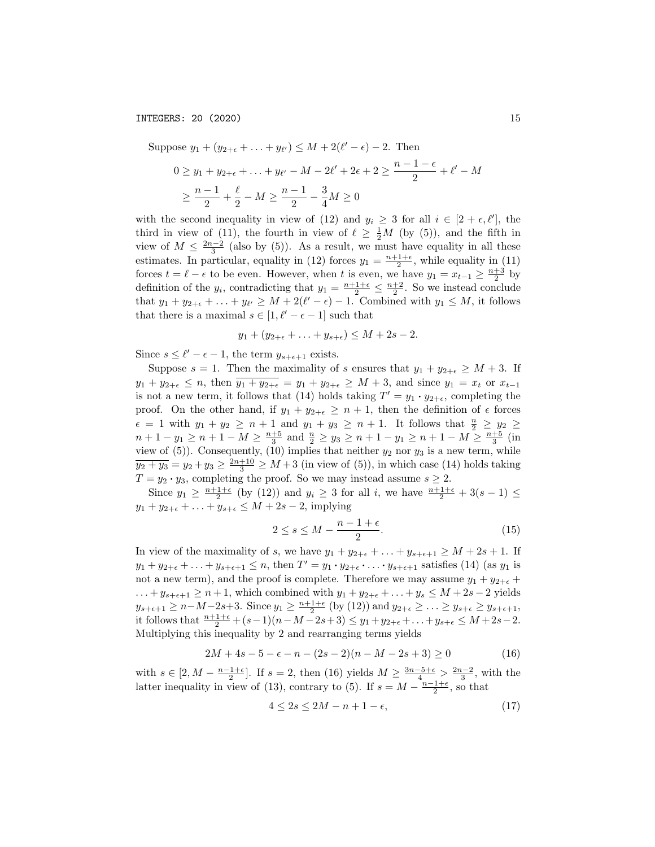Suppose  $y_1 + (y_{2+\epsilon} + ... + y_{\ell'}) \leq M + 2(\ell' - \epsilon) - 2$ . Then  $0 \ge y_1 + y_{2+\epsilon} + \ldots + y_{\ell'} - M - 2\ell' + 2\epsilon + 2 \ge \frac{n-1-\epsilon}{2} + \ell' - M$  $\geq \frac{n-1}{2} + \frac{\ell}{2} - M \geq \frac{n-1}{2} - \frac{3}{4}M \geq 0$ 

with the second inequality in view of (12) and  $y_i \geq 3$  for all  $i \in [2 + \epsilon, \ell']$ , the third in view of (11), the fourth in view of  $\ell \geq \frac{1}{2}M$  (by (5)), and the fifth in view of  $M \leq \frac{2n-2}{3}$  (also by (5)). As a result, we must have equality in all these estimates. In particular, equality in (12) forces  $y_1 = \frac{n+1+\epsilon}{2}$ , while equality in (11) forces  $t = \ell - \epsilon$  to be even. However, when *t* is even, we have  $y_1 = x_{t-1} \ge \frac{n+3}{2}$  by definition of the  $y_i$ , contradicting that  $y_1 = \frac{n+1+\epsilon}{2} \le \frac{n+2}{2}$ . So we instead conclude that  $y_1 + y_{2+\epsilon} + \ldots + y_{\ell'} \geq M + 2(\ell' - \epsilon) - 1$ . Combined with  $y_1 \leq M$ , it follows that there is a maximal  $s \in [1, \ell' - \epsilon - 1]$  such that

$$
y_1 + (y_{2+\epsilon} + \ldots + y_{s+\epsilon}) \le M + 2s - 2.
$$

Since  $s \leq \ell' - \epsilon - 1$ , the term  $y_{s+\epsilon+1}$  exists.

Suppose  $s = 1$ . Then the maximality of *s* ensures that  $y_1 + y_{2+\epsilon} \geq M + 3$ . If  $y_1 + y_{2+\epsilon} \leq n$ , then  $y_1 + y_{2+\epsilon} = y_1 + y_{2+\epsilon} \geq M + 3$ , and since  $y_1 = x_t$  or  $x_{t-1}$ is not a new term, it follows that (14) holds taking  $T' = y_1 \cdot y_{2+\epsilon}$ , completing the proof. On the other hand, if  $y_1 + y_{2+\epsilon} \geq n+1$ , then the definition of  $\epsilon$  forces  $\epsilon = 1$  with  $y_1 + y_2 \geq n + 1$  and  $y_1 + y_3 \geq n + 1$ . It follows that  $\frac{n}{2} \geq y_2 \geq$  $n+1-y_1 \geq n+1-M \geq \frac{n+5}{3}$  and  $\frac{n}{2} \geq y_3 \geq n+1-y_1 \geq n+1-M \geq \frac{n+5}{3}$  (in view of  $(5)$ ). Consequently,  $(10)$  implies that neither  $y_2$  nor  $y_3$  is a new term, while  $y_2 + y_3 = y_2 + y_3 \ge \frac{2n+10}{3} \ge M + 3$  (in view of (5)), in which case (14) holds taking  $T = y_2 \cdot y_3$ , completing the proof. So we may instead assume  $s \geq 2$ .

Since  $y_1 \ge \frac{n+1+\epsilon}{2}$  (by (12)) and  $y_i \ge 3$  for all *i*, we have  $\frac{n+1+\epsilon}{2} + 3(s-1) \le$  $y_1 + y_{2+\epsilon} + \ldots + y_{s+\epsilon} \leq M + 2s - 2$ , implying

$$
2 \le s \le M - \frac{n-1+\epsilon}{2}.\tag{15}
$$

In view of the maximality of *s*, we have  $y_1 + y_{2+\epsilon} + \ldots + y_{s+\epsilon+1} \geq M + 2s + 1$ . If  $y_1 + y_{2+\epsilon} + \ldots + y_{s+\epsilon+1} \leq n$ , then  $T' = y_1 \cdot y_{2+\epsilon} \cdot \ldots \cdot y_{s+\epsilon+1}$  satisfies (14) (as  $y_1$  is not a new term), and the proof is complete. Therefore we may assume  $y_1 + y_{2+\epsilon}$  $\dots + y_{s+\epsilon+1} \geq n+1$ , which combined with  $y_1 + y_{2+\epsilon} + \dots + y_s \leq M + 2s - 2$  yields  $y_{s+\epsilon+1} \ge n-M-2s+3$ . Since  $y_1 \ge \frac{n+1+\epsilon}{2}$  (by (12)) and  $y_{2+\epsilon} \ge \ldots \ge y_{s+\epsilon} \ge y_{s+\epsilon+1}$ , it follows that  $\frac{n+1+\epsilon}{2} + (s-1)(n-M-2s+3) \leq y_1 + y_{2+\epsilon} + \ldots + y_{s+\epsilon} \leq M+2s-2$ . Multiplying this inequality by 2 and rearranging terms yields

$$
2M + 4s - 5 - \epsilon - n - (2s - 2)(n - M - 2s + 3) \ge 0
$$
\n(16)

with  $s \in [2, M - \frac{n-1+\epsilon}{2}]$ . If  $s = 2$ , then (16) yields  $M \ge \frac{3n-5+\epsilon}{4} > \frac{2n-2}{3}$ , with the latter inequality in view of (13), contrary to (5). If  $s = M - \frac{n-1+\epsilon}{2}$ , so that

$$
4 \le 2s \le 2M - n + 1 - \epsilon,\tag{17}
$$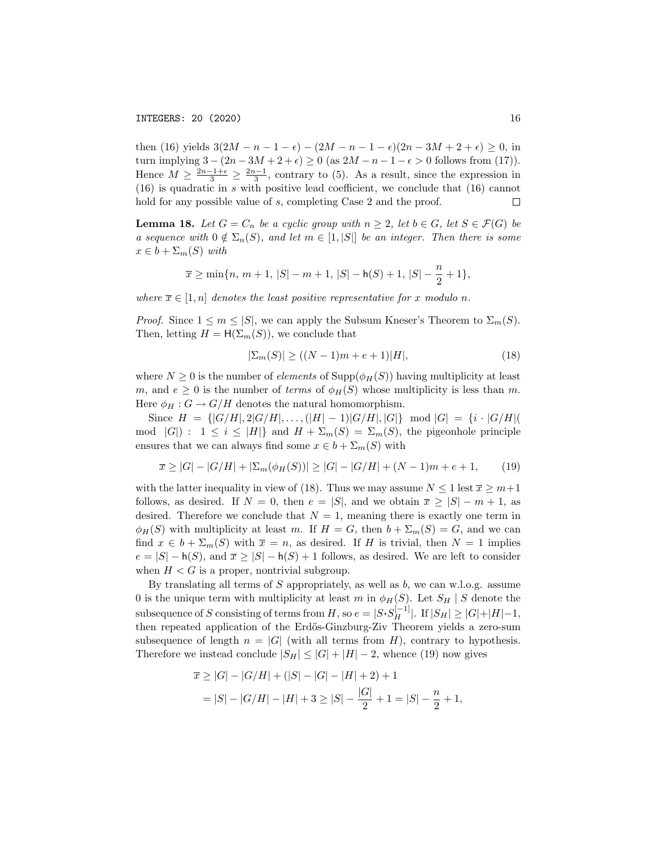then (16) yields  $3(2M - n - 1 - \epsilon) - (2M - n - 1 - \epsilon)(2n - 3M + 2 + \epsilon) \ge 0$ , in turn implying  $3 - (2n - 3M + 2 + \epsilon) \ge 0$  (as  $2M - n - 1 - \epsilon > 0$  follows from (17)). Hence  $M \ge \frac{2n-1+\epsilon}{3} \ge \frac{2n-1}{3}$ , contrary to (5). As a result, since the expression in  $(16)$  is quadratic in *s* with positive lead coefficient, we conclude that  $(16)$  cannot hold for any possible value of *s*, completing Case 2 and the proof.  $\Box$ 

**Lemma 18.** Let  $G = C_n$  be a cyclic group with  $n \geq 2$ , let  $b \in G$ , let  $S \in \mathcal{F}(G)$  be a sequence with  $0 \notin \Sigma_n(S)$ , and let  $m \in [1, |S|]$  be an integer. Then there is some  $x \in b + \sum_m(S)$  *with* 

$$
\overline{x} \ge \min\{n, m+1, |S| - m + 1, |S| - h(S) + 1, |S| - \frac{n}{2} + 1\},\
$$

*where*  $\overline{x} \in [1, n]$  *denotes the least positive representative for x modulo n*.

*Proof.* Since  $1 \leq m \leq |S|$ , we can apply the Subsum Kneser's Theorem to  $\Sigma_m(S)$ . Then, letting  $H = H(\Sigma_m(S))$ , we conclude that

$$
|\Sigma_m(S)| \ge ((N-1)m + e + 1)|H|,
$$
\n(18)

where  $N \geq 0$  is the number of *elements* of Supp( $\phi_H(S)$ ) having multiplicity at least *m*, and  $e \geq 0$  is the number of *terms* of  $\phi_H(S)$  whose multiplicity is less than *m*. Here  $\phi_H : G \to G/H$  denotes the natural homomorphism.

Since  $H = \{ |G/H|, 2|G/H|, \ldots, (|H|-1)|G/H|, |G|\} \mod |G| = \{i \cdot |G/H|$ mod  $|G|$ :  $1 \leq i \leq |H|$ } and  $H + \Sigma_m(S) = \Sigma_m(S)$ , the pigeonhole principle ensures that we can always find some  $x \in b + \sum_m(S)$  with

$$
\overline{x} \ge |G| - |G/H| + |\Sigma_m(\phi_H(S))| \ge |G| - |G/H| + (N-1)m + e + 1,\tag{19}
$$

with the latter inequality in view of (18). Thus we may assume  $N \leq 1$  lest  $\overline{x} \geq m+1$ follows, as desired. If  $N = 0$ , then  $e = |S|$ , and we obtain  $\overline{x} \geq |S| - m + 1$ , as desired. Therefore we conclude that  $N = 1$ , meaning there is exactly one term in  $\phi_H(S)$  with multiplicity at least *m*. If  $H = G$ , then  $b + \Sigma_m(S) = G$ , and we can find  $x \in b + \Sigma_m(S)$  with  $\overline{x} = n$ , as desired. If *H* is trivial, then  $N = 1$  implies  $e = |S| - h(S)$ , and  $\overline{x} \geq |S| - h(S) + 1$  follows, as desired. We are left to consider when  $H < G$  is a proper, nontrivial subgroup.

By translating all terms of *S* appropriately, as well as *b*, we can w.l.o.g. assume 0 is the unique term with multiplicity at least *m* in  $\phi_H(S)$ . Let  $S_H \mid S$  denote the subsequence of *S* consisting of terms from *H*, so  $e = |S \cdot S_H^{[-1]}|$ . If  $|S_H| \geq |G| + |H| - 1$ , then repeated application of the Erdős-Ginzburg-Ziv Theorem yields a zero-sum subsequence of length  $n = |G|$  (with all terms from *H*), contrary to hypothesis. Therefore we instead conclude  $|S_H| \leq |G| + |H| - 2$ , whence (19) now gives

$$
\overline{x} \ge |G| - |G/H| + (|S| - |G| - |H| + 2) + 1
$$
  
= |S| - |G/H| - |H| + 3 \ge |S| - \frac{|G|}{2} + 1 = |S| - \frac{n}{2} + 1,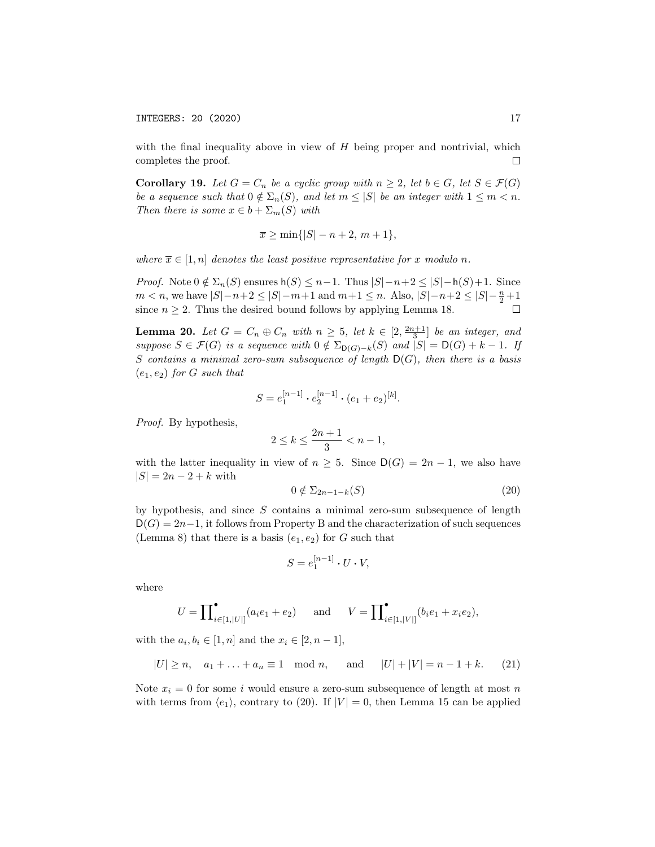with the final inequality above in view of *H* being proper and nontrivial, which completes the proof. □

**Corollary 19.** Let  $G = C_n$  be a cyclic group with  $n \geq 2$ , let  $b \in G$ , let  $S \in \mathcal{F}(G)$ be a sequence such that  $0 \notin \Sigma_n(S)$ , and let  $m \leq |S|$  be an integer with  $1 \leq m < n$ . *Then there is some*  $x \in b + \sum_m(S)$  *with* 

$$
\overline{x} \ge \min\{|S| - n + 2, m + 1\},\
$$

*where*  $\overline{x} \in [1, n]$  *denotes the least positive representative for x modulo n*.

*Proof.* Note  $0 \notin \Sigma_n(S)$  ensures  $h(S) \leq n-1$ . Thus  $|S| - n + 2 \leq |S| - h(S) + 1$ . Since  $m < n$ , we have  $|S| - n + 2 \leq |S| - m + 1$  and  $m + 1 \leq n$ . Also,  $|S| - n + 2 \leq |S| - \frac{n}{2} + 1$ since  $n \geq 2$ . Thus the desired bound follows by applying Lemma 18.  $\Box$ 

**Lemma 20.** Let  $G = C_n \oplus C_n$  with  $n \geq 5$ , let  $k \in [2, \frac{2n+1}{3}]$  be an integer, and *suppose*  $S \in \mathcal{F}(G)$  *is a sequence with*  $0 \notin \Sigma_{\mathsf{D}(G)-k}(S)$  *and*  $|S| = \mathsf{D}(G) + k - 1$ *. If S contains a minimal zero-sum subsequence of length* D(*G*)*, then there is a basis*  $(e_1, e_2)$  *for G such that* 

$$
S = e_1^{[n-1]} \cdot e_2^{[n-1]} \cdot (e_1 + e_2)^{[k]}.
$$

*Proof.* By hypothesis,

$$
2 \le k \le \frac{2n+1}{3} < n-1,
$$

with the latter inequality in view of  $n \geq 5$ . Since  $D(G) = 2n - 1$ , we also have  $|S| = 2n - 2 + k$  with

$$
0 \notin \Sigma_{2n-1-k}(S) \tag{20}
$$

by hypothesis, and since *S* contains a minimal zero-sum subsequence of length  $D(G) = 2n-1$ , it follows from Property B and the characterization of such sequences (Lemma 8) that there is a basis  $(e_1, e_2)$  for *G* such that

$$
S = e_1^{[n-1]} \cdot U \cdot V,
$$

where

$$
U = \prod_{i \in [1, |U|]}^{\bullet} (a_i e_1 + e_2) \quad \text{and} \quad V = \prod_{i \in [1, |V|]}^{\bullet} (b_i e_1 + x_i e_2),
$$

with the  $a_i, b_i \in [1, n]$  and the  $x_i \in [2, n-1]$ ,

$$
|U| \ge n
$$
,  $a_1 + ... + a_n \equiv 1 \mod n$ , and  $|U| + |V| = n - 1 + k$ . (21)

Note  $x_i = 0$  for some *i* would ensure a zero-sum subsequence of length at most *n* with terms from  $\langle e_1 \rangle$ , contrary to (20). If  $|V| = 0$ , then Lemma 15 can be applied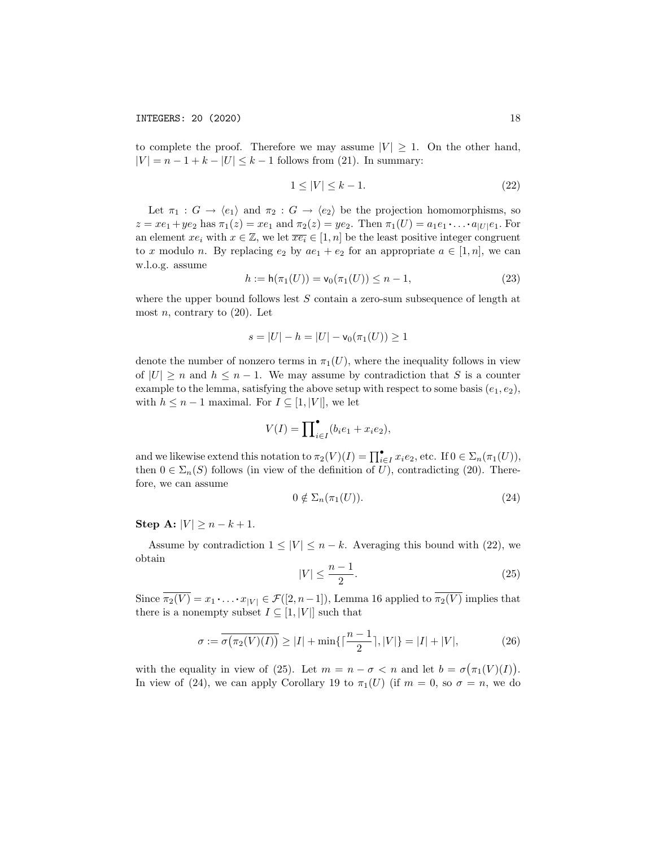to complete the proof. Therefore we may assume  $|V| \geq 1$ . On the other hand,  $|V| = n - 1 + k - |U| \leq k - 1$  follows from (21). In summary:

$$
1 \le |V| \le k - 1. \tag{22}
$$

Let  $\pi_1 : G \to \langle e_1 \rangle$  and  $\pi_2 : G \to \langle e_2 \rangle$  be the projection homomorphisms, so  $z = xe_1 + ye_2$  has  $\pi_1(z) = xe_1$  and  $\pi_2(z) = ye_2$ . Then  $\pi_1(U) = a_1e_1 \cdots a_{|U|}e_1$ . For an element  $xe_i$  with  $x \in \mathbb{Z}$ , we let  $\overline{xe_i} \in [1, n]$  be the least positive integer congruent to *x* modulo *n*. By replacing  $e_2$  by  $ae_1 + e_2$  for an appropriate  $a \in [1, n]$ , we can w.l.o.g. assume

$$
h := h(\pi_1(U)) = v_0(\pi_1(U)) \le n - 1,
$$
\n(23)

where the upper bound follows lest *S* contain a zero-sum subsequence of length at most  $n$ , contrary to  $(20)$ . Let

$$
s = |U| - h = |U| - \mathsf{v}_0(\pi_1(U)) \ge 1
$$

denote the number of nonzero terms in  $\pi_1(U)$ , where the inequality follows in view of  $|U| \ge n$  and  $h \le n - 1$ . We may assume by contradiction that *S* is a counter example to the lemma, satisfying the above setup with respect to some basis  $(e_1, e_2)$ , with  $h \leq n-1$  maximal. For  $I \subseteq [1, |V|]$ , we let

$$
V(I) = \prod_{i \in I} (b_i e_1 + x_i e_2),
$$

and we likewise extend this notation to  $\pi_2(V)(I) = \prod_{i \in I}^{\bullet} x_i e_2$ , etc. If  $0 \in \Sigma_n(\pi_1(U))$ , then  $0 \in \Sigma_n(S)$  follows (in view of the definition of *U*), contradicting (20). Therefore, we can assume

$$
0 \notin \Sigma_n(\pi_1(U)). \tag{24}
$$

Step A:  $|V| > n - k + 1$ .

Assume by contradiction  $1 \leq |V| \leq n - k$ . Averaging this bound with (22), we obtain

$$
|V| \le \frac{n-1}{2}.\tag{25}
$$

Since  $\overline{\pi_2(V)} = x_1 \cdot \ldots \cdot x_{|V|} \in \mathcal{F}([2, n-1])$ , Lemma 16 applied to  $\overline{\pi_2(V)}$  implies that there is a nonempty subset  $I \subseteq [1, |V|]$  such that

$$
\sigma := \overline{\sigma(\pi_2(V)(I))} \ge |I| + \min\{\lceil \frac{n-1}{2} \rceil, |V|\} = |I| + |V|,\tag{26}
$$

with the equality in view of (25). Let  $m = n - \sigma < n$  and let  $b = \sigma(\pi_1(V)(I)).$ In view of (24), we can apply Corollary 19 to  $\pi_1(U)$  (if  $m = 0$ , so  $\sigma = n$ , we do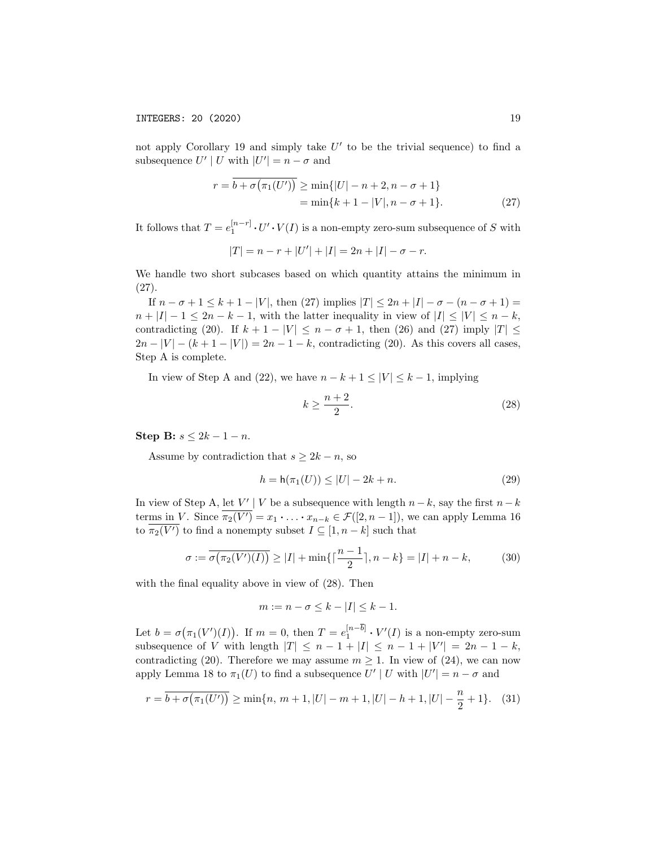not apply Corollary 19 and simply take  $U'$  to be the trivial sequence) to find a subsequence  $U' | U$  with  $|U'| = n - \sigma$  and

$$
r = \overline{b + \sigma(\pi_1(U'))} \ge \min\{|U| - n + 2, n - \sigma + 1\}
$$
  
=  $\min\{k + 1 - |V|, n - \sigma + 1\}.$  (27)

It follows that  $T = e_1^{[n-r]} \cdot U' \cdot V(I)$  is a non-empty zero-sum subsequence of *S* with

$$
|T| = n - r + |U'| + |I| = 2n + |I| - \sigma - r.
$$

We handle two short subcases based on which quantity attains the minimum in (27).

If  $n - \sigma + 1 \le k + 1 - |V|$ , then (27) implies  $|T| \le 2n + |I| - \sigma - (n - \sigma + 1) =$  $n + |I| - 1 \leq 2n - k - 1$ , with the latter inequality in view of  $|I| \leq |V| \leq n - k$ , contradicting (20). If  $k + 1 - |V| \leq n - \sigma + 1$ , then (26) and (27) imply  $|T| \leq$  $2n - |V| - (k + 1 - |V|) = 2n - 1 - k$ , contradicting (20). As this covers all cases, Step A is complete.

In view of Step A and (22), we have  $n - k + 1 \leq |V| \leq k - 1$ , implying

$$
k \ge \frac{n+2}{2}.\tag{28}
$$

Step B:  $s < 2k - 1 - n$ .

Assume by contradiction that  $s \geq 2k - n$ , so

$$
h = h(\pi_1(U)) \le |U| - 2k + n. \tag{29}
$$

In view of Step A, let  $V' | V$  be a subsequence with length  $n - k$ , say the first  $n - k$ terms in *V*. Since  $\pi_2(V') = x_1 \cdot \ldots \cdot x_{n-k} \in \mathcal{F}([2, n-1])$ , we can apply Lemma 16 to  $\pi_2(V')$  to find a nonempty subset  $I \subseteq [1, n-k]$  such that

$$
\sigma := \overline{\sigma(\pi_2(V')(I))} \ge |I| + \min\{\lceil \frac{n-1}{2} \rceil, n-k\} = |I| + n - k,\tag{30}
$$

with the final equality above in view of (28). Then

$$
m := n - \sigma \le k - |I| \le k - 1.
$$

Let  $b = \sigma(\pi_1(V')(I))$ . If  $m = 0$ , then  $T = e_1^{[n-b]} \cdot V'(I)$  is a non-empty zero-sum subsequence of *V* with length  $|T| \leq n - 1 + |I| \leq n - 1 + |V'| = 2n - 1 - k$ , contradicting (20). Therefore we may assume  $m > 1$ . In view of (24), we can now apply Lemma 18 to  $\pi_1(U)$  to find a subsequence  $U' | U$  with  $|U'| = n - \sigma$  and

$$
r = \overline{b + \sigma(\pi_1(U'))} \ge \min\{n, \, m+1, |U| - m + 1, |U| - h + 1, |U| - \frac{n}{2} + 1\}.\tag{31}
$$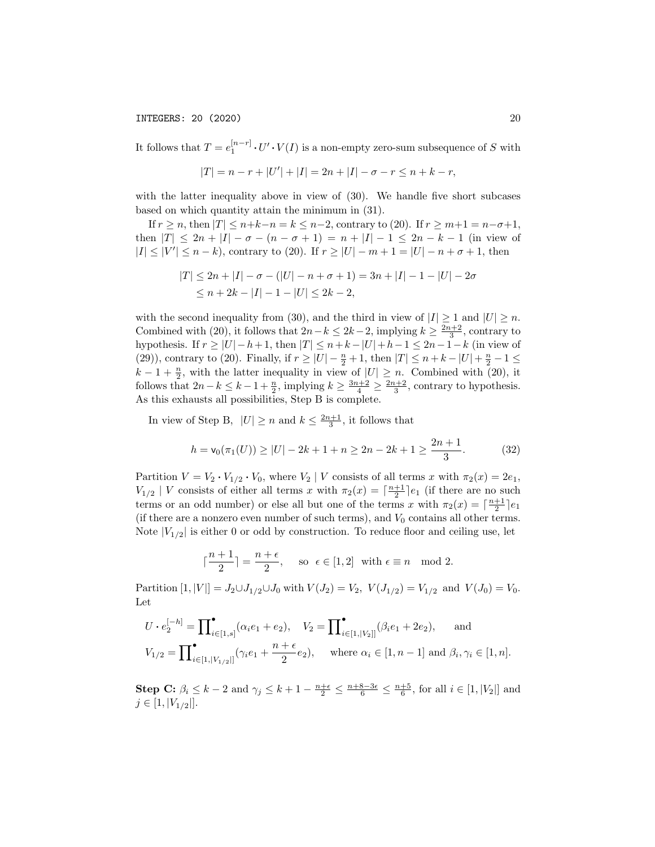It follows that  $T = e_1^{[n-r]} \cdot U' \cdot V(I)$  is a non-empty zero-sum subsequence of *S* with

$$
|T| = n - r + |U'| + |I| = 2n + |I| - \sigma - r \le n + k - r,
$$

with the latter inequality above in view of  $(30)$ . We handle five short subcases based on which quantity attain the minimum in (31).

If  $r \ge n$ , then  $|T| \le n+k-n = k \le n-2$ , contrary to (20). If  $r \ge m+1 = n-\sigma+1$ , then  $|T| \leq 2n + |I| - \sigma - (n - \sigma + 1) = n + |I| - 1 \leq 2n - k - 1$  (in view of  $|I| \leq |V'| \leq n - k$ , contrary to (20). If  $r \geq |U| - m + 1 = |U| - n + \sigma + 1$ , then

$$
|T| \le 2n + |I| - \sigma - (|U| - n + \sigma + 1) = 3n + |I| - 1 - |U| - 2\sigma
$$
  

$$
\le n + 2k - |I| - 1 - |U| \le 2k - 2,
$$

with the second inequality from (30), and the third in view of  $|I| \geq 1$  and  $|U| \geq n$ . Combined with (20), it follows that  $2n - k \leq 2k - 2$ , implying  $k \geq \frac{2n+2}{3}$ , contrary to hypothesis. If  $r \geq |U| - h + 1$ , then  $|T| \leq n + k - |U| + h - 1 \leq 2n - 1 - k$  (in view of (29)), contrary to (20). Finally, if  $r \geq |U| - \frac{n}{2} + 1$ , then  $|T| \leq n + k - |U| + \frac{n}{2} - 1 \leq$  $k-1+\frac{n}{2}$ , with the latter inequality in view of  $|U| \geq n$ . Combined with (20), it follows that  $2n - k \leq k - 1 + \frac{n}{2}$ , implying  $k \geq \frac{3n+2}{4} \geq \frac{2n+2}{3}$ , contrary to hypothesis. As this exhausts all possibilities, Step B is complete.

In view of Step B,  $|U| \ge n$  and  $k \le \frac{2n+1}{3}$ , it follows that

$$
h = \mathsf{v}_0(\pi_1(U)) \ge |U| - 2k + 1 + n \ge 2n - 2k + 1 \ge \frac{2n + 1}{3}.\tag{32}
$$

Partition  $V = V_2 \cdot V_{1/2} \cdot V_0$ , where  $V_2 \mid V$  consists of all terms *x* with  $\pi_2(x) = 2e_1$ ,  $V_{1/2}$  | *V* consists of either all terms *x* with  $\pi_2(x) = \lceil \frac{n+1}{2} \rceil e_1$  (if there are no such terms or an odd number) or else all but one of the terms *x* with  $\pi_2(x) = \lceil \frac{n+1}{2} \rceil e_1$ (if there are a nonzero even number of such terms), and  $V_0$  contains all other terms. Note  $|V_{1/2}|$  is either 0 or odd by construction. To reduce floor and ceiling use, let

$$
\lceil \frac{n+1}{2} \rceil = \frac{n+\epsilon}{2}, \quad \text{so } \epsilon \in [1,2] \text{ with } \epsilon \equiv n \mod 2.
$$

Partition  $[1, |V|] = J_2 \cup J_{1/2} \cup J_0$  with  $V(J_2) = V_2$ ,  $V(J_{1/2}) = V_{1/2}$  and  $V(J_0) = V_0$ . Let

$$
U \cdot e_2^{[-h]} = \prod_{i \in [1,s]}^{\bullet} (\alpha_i e_1 + e_2), \quad V_2 = \prod_{i \in [1,|V_2|]}^{\bullet} (\beta_i e_1 + 2e_2), \quad \text{and}
$$
  

$$
V_{1/2} = \prod_{i \in [1,|V_{1/2}|]}^{\bullet} (\gamma_i e_1 + \frac{n + \epsilon}{2} e_2), \quad \text{where } \alpha_i \in [1, n-1] \text{ and } \beta_i, \gamma_i \in [1, n].
$$

**Step C:**  $\beta_i \leq k - 2$  and  $\gamma_j \leq k + 1 - \frac{n + \epsilon}{2} \leq \frac{n + 8 - 3\epsilon}{6} \leq \frac{n + 5}{6}$ , for all  $i \in [1, |V_2|]$  and  $j \in [1, |V_{1/2}|].$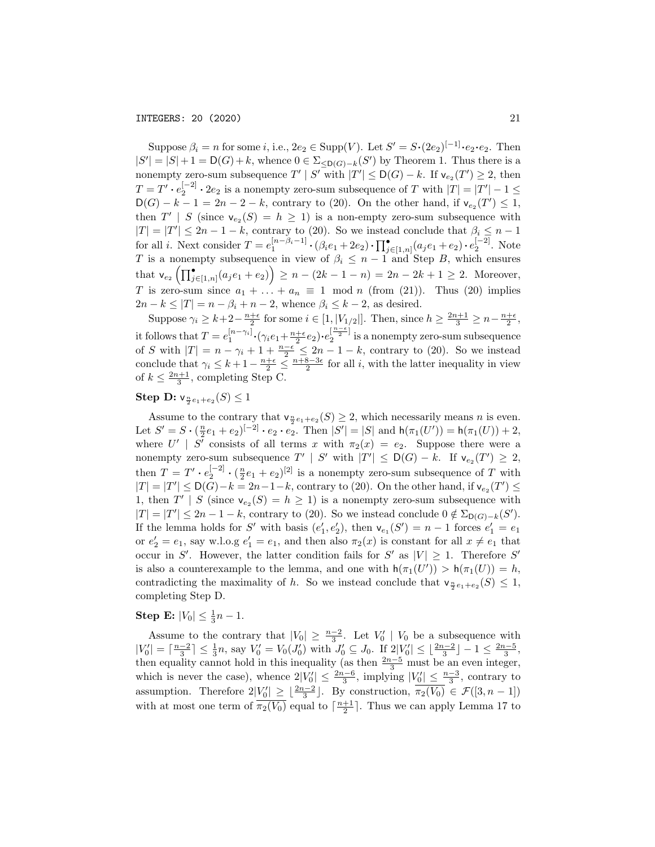Suppose  $\beta_i = n$  for some *i*, i.e.,  $2e_2 \in \text{Supp}(V)$ . Let  $S' = S \cdot (2e_2)^{[-1]} \cdot e_2 \cdot e_2$ . Then  $|S'| = |S| + 1 = D(G) + k$ , whence  $0 \in \Sigma_{\leq D(G) - k}(S')$  by Theorem 1. Thus there is a nonempty zero-sum subsequence  $T' | S'$  with  $|T'| \leq \mathsf{D}(G) - k$ . If  $\mathsf{v}_{e_2}(T') \geq 2$ , then  $T = T' \cdot e_2^{[-2]} \cdot 2e_2$  is a nonempty zero-sum subsequence of *T* with  $|T| = |T'| - 1 \le$  $D(G) - k - 1 = 2n - 2 - k$ , contrary to (20). On the other hand, if  $v_{e_2}(T') \leq 1$ , then  $T'$  | *S* (since  $v_{e_2}(S) = h \ge 1$ ) is a non-empty zero-sum subsequence with  $|T| = |T'| \leq 2n - 1 - k$ , contrary to (20). So we instead conclude that  $\beta_i \leq n - 1$ for all *i*. Next consider  $T = e_1^{[n-\beta_i-1]} \cdot (\beta_i e_1 + 2e_2) \cdot \prod_{j=\lceil 1,n \rceil}^{\bullet} (a_j e_1 + e_2) \cdot e_2^{\lceil -2 \rceil}$ . Note *T* is a nonempty subsequence in view of  $\beta_i \leq n-1$  and Step *B*, which ensures  $\mathsf{that}\ \mathsf{v}_{e_2}\left(\prod_{j\in[1,n]}^\bullet(a_je_1+e_2)\right)\geq n-(2k-1-n)=2n-2k+1\geq 2.$  Moreover, *T* is zero-sum since  $a_1 + \ldots + a_n \equiv 1 \mod n$  (from (21)). Thus (20) implies  $2n - k \leq |T| = n - \beta_i + n - 2$ , whence  $\beta_i \leq k - 2$ , as desired.

Suppose  $\gamma_i \geq k+2 - \frac{n+\epsilon}{2}$  for some  $i \in [1, |V_{1/2}|]$ . Then, since  $h \geq \frac{2n+1}{3} \geq n - \frac{n+\epsilon}{2}$ , it follows that  $T = e_1^{[n-\gamma_i]} \cdot (\gamma_i e_1 + \frac{n+\epsilon}{2} e_2) \cdot e_2^{\left[\frac{n-\epsilon}{2}\right]}$  is a nonempty zero-sum subsequence of *S* with  $|T| = n - \gamma_i + 1 + \frac{n-\epsilon}{2} \leq 2n - 1 - k$ , contrary to (20). So we instead conclude that  $\gamma_i \leq k+1-\frac{n+\epsilon}{2} \leq \frac{n+8-3\epsilon}{2}$  for all *i*, with the latter inequality in view of  $k \leq \frac{2n+1}{3}$ , completing Step C.

# $\textbf{Step D: } \textsf{v}_{\frac{n}{2}e_1+e_2}(S) \leq 1$

Assume to the contrary that  $\mathsf{v}_{\frac{n}{2}e_1+e_2}(S) \geq 2$ , which necessarily means *n* is even. Let  $S' = S \cdot (\frac{n}{2}e_1 + e_2)^{[-2]} \cdot e_2 \cdot e_2$ . Then  $|S'| = |S|$  and  $h(\pi_1(U')) = h(\pi_1(U)) + 2$ , where  $U' | S'$  consists of all terms *x* with  $\pi_2(x) = e_2$ . Suppose there were a nonempty zero-sum subsequence  $T' | S'$  with  $|T'| \leq D(G) - k$ . If  $v_{e_2}(T') \geq 2$ , then  $T = T' \cdot e_2^{[-2]} \cdot (\frac{n}{2}e_1 + e_2)^{[2]}$  is a nonempty zero-sum subsequence of *T* with  $|T| = |T'| \leq \mathsf{D}(G) - k = 2n - 1 - k$ , contrary to (20). On the other hand, if  $\mathsf{v}_{e_2}(T') \leq$ 1, then  $T' | S$  (since  $v_{e_2}(S) = h \ge 1$ ) is a nonempty zero-sum subsequence with  $|T| = |T'| \leq 2n - 1 - k$ , contrary to (20). So we instead conclude  $0 \notin \Sigma_{\mathsf{D}(G)-k}(S')$ . If the lemma holds for *S'* with basis  $(e'_1, e'_2)$ , then  $v_{e_1}(S') = n - 1$  forces  $e'_1 = e_1$ or  $e'_2 = e_1$ , say w.l.o.g  $e'_1 = e_1$ , and then also  $\pi_2(x)$  is constant for all  $x \neq e_1$  that occur in *S'*. However, the latter condition fails for *S'* as  $|V| \geq 1$ . Therefore *S'* is also a counterexample to the lemma, and one with  $h(\pi_1(U')) > h(\pi_1(U)) = h$ , contradicting the maximality of *h*. So we instead conclude that  $\mathsf{v}_{\frac{n}{2}e_1+e_2}(S) \leq 1$ , completing Step D.

# **Step E:**  $|V_0| \le \frac{1}{3}n - 1$ .

Assume to the contrary that  $|V_0| \geq \frac{n-2}{3}$ . Let  $V'_0 | V_0$  be a subsequence with  $|V'_0| = \lceil \frac{n-2}{3} \rceil \le \frac{1}{3}n$ , say  $V'_0 = V_0(J'_0)$  with  $J'_0 \subseteq J_0$ . If  $2|V'_0| \le \lfloor \frac{2n-2}{3} \rfloor - 1 \le \frac{2n-5}{3}$ , then equality cannot hold in this inequality (as then  $\frac{2n-5}{3}$  must be an even integer, which is never the case), whence  $2|V_0'| \leq \frac{2n-6}{3}$ , implying  $|V_0'| \leq \frac{n-3}{3}$ , contrary to assumption. Therefore  $2|V_0'| \geq \lfloor \frac{2n-2}{3} \rfloor$ . By construction,  $\overline{\pi_2(V_0)} \in \mathcal{F}([3, n-1])$ with at most one term of  $\overline{\pi_2(V_0)}$  equal to  $\lceil \frac{n+1}{2} \rceil$ . Thus we can apply Lemma 17 to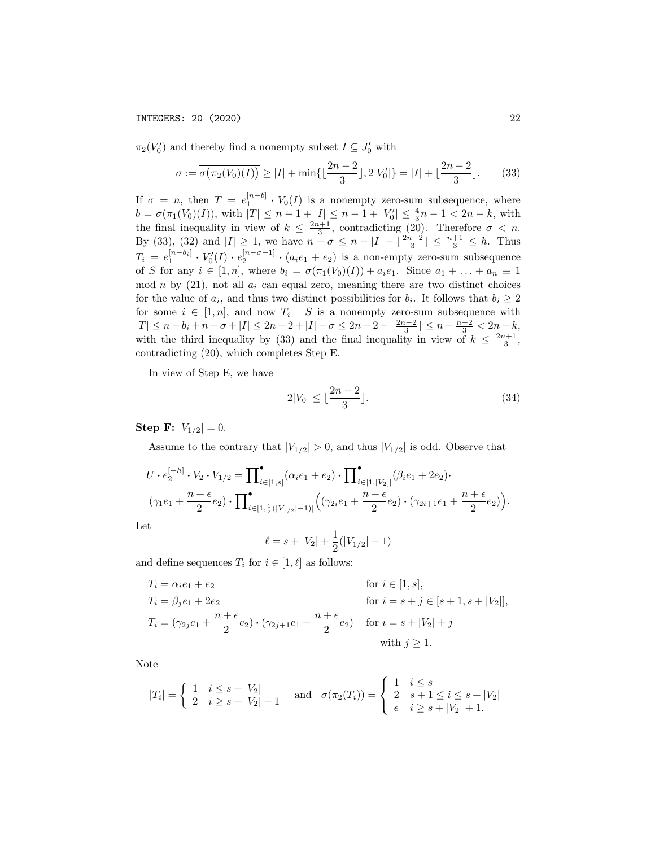$\pi_2(V'_0)$  and thereby find a nonempty subset  $I \subseteq J'_0$  with

$$
\sigma := \overline{\sigma(\pi_2(V_0)(I))} \ge |I| + \min\{\lfloor \frac{2n-2}{3} \rfloor, 2|V'_0|\} = |I| + \lfloor \frac{2n-2}{3} \rfloor. \tag{33}
$$

If  $\sigma = n$ , then  $T = e_1^{[n-b]} \cdot V_0(I)$  is a nonempty zero-sum subsequence, where  $b = \overline{\sigma(\pi_1(V_0)(I))}$ , with  $|T| \leq n - 1 + |I| \leq n - 1 + |V'_0| \leq \frac{4}{3}n - 1 < 2n - k$ , with the final inequality in view of  $k \leq \frac{2n+1}{3}$ , contradicting (20). Therefore  $\sigma < n$ . By (33), (32) and  $|I| \ge 1$ , we have  $n - \sigma \le n - |I| - \lfloor \frac{2n-2}{3} \rfloor \le \frac{n+1}{3} \le h$ . Thus  $T_i = e_1^{[n-b_i]} \cdot V'_0(I) \cdot e_2^{[n-\sigma-1]} \cdot (a_i e_1 + e_2)$  is a non-empty zero-sum subsequence of *S* for any  $i \in [1, n]$ , where  $b_i = \sigma(\pi_1(V_0)(I)) + a_i e_1$ . Since  $a_1 + \ldots + a_n \equiv 1$ mod  $n$  by  $(21)$ , not all  $a_i$  can equal zero, meaning there are two distinct choices for the value of  $a_i$ , and thus two distinct possibilities for  $b_i$ . It follows that  $b_i \geq 2$ for some  $i \in [1, n]$ , and now  $T_i \mid S$  is a nonempty zero-sum subsequence with  $|T| \leq n - b_i + n - \sigma + |I| \leq 2n - 2 + |I| - \sigma \leq 2n - 2 - \lfloor \frac{2n-2}{3} \rfloor \leq n + \frac{n-2}{3} < 2n - k,$ with the third inequality by (33) and the final inequality in view of  $k \leq \frac{2n+1}{3}$ , contradicting (20), which completes Step E.

In view of Step E, we have

$$
2|V_0| \le \lfloor \frac{2n-2}{3} \rfloor. \tag{34}
$$

Step **F**:  $|V_{1/2}| = 0$ .

Assume to the contrary that  $|V_{1/2}| > 0$ , and thus  $|V_{1/2}|$  is odd. Observe that

$$
U \cdot e_2^{[-h]} \cdot V_2 \cdot V_{1/2} = \prod_{i \in [1,s]} ( \alpha_i e_1 + e_2 ) \cdot \prod_{i \in [1,|V_2|]} (\beta_i e_1 + 2e_2 ) \cdot
$$
  

$$
(\gamma_1 e_1 + \frac{n + \epsilon}{2} e_2 ) \cdot \prod_{i \in [1,\frac{1}{2}(|V_{1/2}| - 1)]} (\gamma_2 i e_1 + \frac{n + \epsilon}{2} e_2 ) \cdot (\gamma_{2i+1} e_1 + \frac{n + \epsilon}{2} e_2 ) ).
$$

Let

$$
\ell = s + |V_2| + \frac{1}{2}(|V_{1/2}| - 1)
$$

and define sequences  $T_i$  for  $i \in [1, \ell]$  as follows:

$$
T_i = \alpha_i e_1 + e_2 \qquad \text{for } i \in [1, s],
$$
  
\n
$$
T_i = \beta_j e_1 + 2e_2 \qquad \text{for } i = s + j \in [s + 1, s + |V_2|],
$$
  
\n
$$
T_i = (\gamma_{2j} e_1 + \frac{n + \epsilon}{2} e_2) \cdot (\gamma_{2j+1} e_1 + \frac{n + \epsilon}{2} e_2) \qquad \text{for } i = s + |V_2| + j
$$
  
\nwith  $j \ge 1$ .

Note

$$
|T_i| = \begin{cases} 1 & i \le s + |V_2| \\ 2 & i \ge s + |V_2| + 1 \end{cases} \text{ and } \overline{\sigma(\pi_2(T_i))} = \begin{cases} 1 & i \le s \\ 2 & s + 1 \le i \le s + |V_2| \\ \epsilon & i \ge s + |V_2| + 1. \end{cases}
$$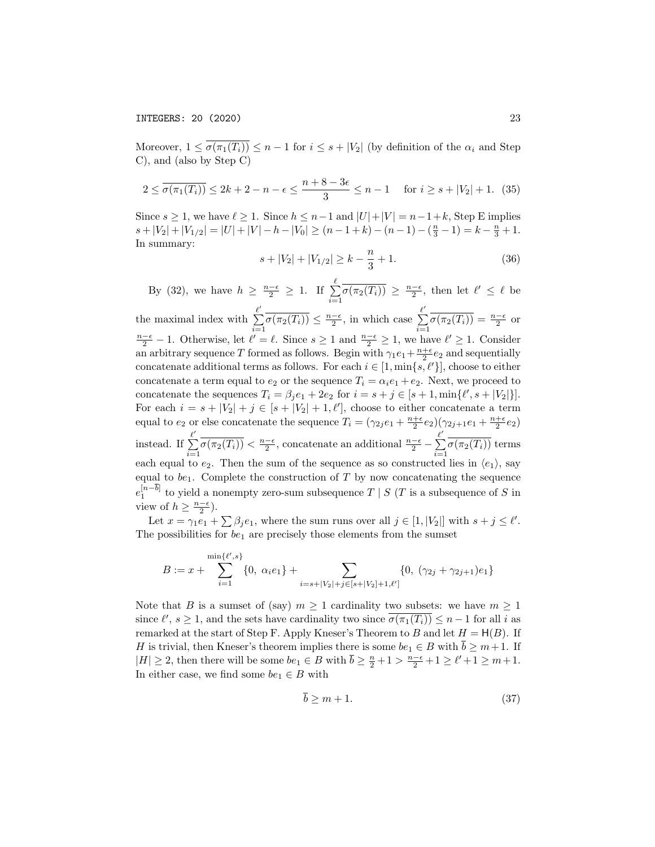Moreover,  $1 \leq \overline{\sigma(\pi_1(T_i))} \leq n-1$  for  $i \leq s+|V_2|$  (by definition of the  $\alpha_i$  and Step C), and (also by Step C)

$$
2 \le \overline{\sigma(\pi_1(T_i))} \le 2k + 2 - n - \epsilon \le \frac{n + 8 - 3\epsilon}{3} \le n - 1 \quad \text{for } i \ge s + |V_2| + 1. \tag{35}
$$

Since  $s \geq 1$ , we have  $\ell \geq 1$ . Since  $h \leq n-1$  and  $|U|+|V| = n-1+k$ , Step E implies  $s+|V_2|+|V_{1/2}|=|U|+|V|-h-|V_0|\geq (n-1+k)-(n-1)-(\frac{n}{3}-1)=k-\frac{n}{3}+1.$ In summary:

$$
s + |V_2| + |V_{1/2}| \ge k - \frac{n}{3} + 1. \tag{36}
$$

By (32), we have  $h \geq \frac{n-\epsilon}{2} \geq 1$ . If  $\sum_{n=1}^{\ell}$  $\sum_{i=1} \overline{\sigma(\pi_2(T_i))} \geq \frac{n-\epsilon}{2}$ , then let  $\ell' \leq \ell$  be the maximal index with  $\sum^{\ell'}$  $\sum_{i=1}^{\ell'} \overline{\sigma(\pi_2(T_i))} \leq \frac{n-\epsilon}{2}$ , in which case  $\sum_{i=1}^{\ell'}$  $\sum_{i=1}^{\infty} \overline{\sigma(\pi_2(T_i))} = \frac{n-\epsilon}{2}$  or  $\frac{n-\epsilon}{2} - 1$ . Otherwise, let  $\ell' = \ell$ . Since  $s \ge 1$  and  $\frac{n-\epsilon}{2} \ge 1$ , we have  $\ell' \ge 1$ . Consider an arbitrary sequence *T* formed as follows. Begin with  $\gamma_1 e_1 + \frac{n+\epsilon}{2} e_2$  and sequentially concatenate additional terms as follows. For each  $i \in [1, \min\{s, \ell'\}]$ , choose to either concatenate a term equal to  $e_2$  or the sequence  $T_i = \alpha_i e_1 + e_2$ . Next, we proceed to concatenate the sequences  $T_i = \beta_j e_1 + 2e_2$  for  $i = s + j \in [s + 1, \min\{\ell', s + |V_2|\}]$ . For each  $i = s + |V_2| + j \in [s + |V_2| + 1, \ell']$ , choose to either concatenate a term equal to  $e_2$  or else concatenate the sequence  $T_i = (\gamma_{2j}e_1 + \frac{n+\epsilon}{2}e_2)(\gamma_{2j+1}e_1 + \frac{n+\epsilon}{2}e_2)$ instead. If  $\sum^{\ell'}$  $\sum_{i=1}^{\ell'} \overline{\sigma(\pi_2(T_i))} < \frac{n-\epsilon}{2}$ , concatenate an additional  $\frac{n-\epsilon}{2} - \sum_{i=1}^{\ell'}$  $\sum_{i=1} \sigma(\pi_2(T_i))$  terms each equal to  $e_2$ . Then the sum of the sequence as so constructed lies in  $\langle e_1 \rangle$ , say equal to  $be_1$ . Complete the construction of  $T$  by now concatenating the sequence  $e_1^{[n-b]}$  to yield a nonempty zero-sum subsequence *T | S* (*T* is a subsequence of *S* in view of  $h \geq \frac{n-\epsilon}{2}$ ).

Let  $x = \gamma_1 e_1 + \sum \beta_j e_1$ , where the sum runs over all  $j \in [1, |V_2|]$  with  $s + j \leq \ell'$ . The possibilities for *be*<sup>1</sup> are precisely those elements from the sumset

$$
B := x + \sum_{i=1}^{\min\{\ell', s\}} \{0, \alpha_i e_1\} + \sum_{i=s+|V_2|+j \in [s+|V_2|+1,\ell']} \{0, (\gamma_{2j} + \gamma_{2j+1}) e_1\}
$$

Note that *B* is a sumset of (say)  $m \geq 1$  cardinality two subsets: we have  $m \geq 1$ since  $\ell', s \geq 1$ , and the sets have cardinality two since  $\sigma(\pi_1(T_i)) \leq n - 1$  for all *i* as remarked at the start of Step F. Apply Kneser's Theorem to *B* and let  $H = H(B)$ . If *H* is trivial, then Kneser's theorem implies there is some  $be_1 \in B$  with  $\overline{b} \geq m+1$ . If  $|H| \geq 2$ , then there will be some  $be_1 \in B$  with  $\overline{b} \geq \frac{n}{2} + 1 > \frac{n-\epsilon}{2} + 1 \geq \ell' + 1 \geq m+1$ . In either case, we find some  $be_1 \in B$  with

$$
b \ge m + 1. \tag{37}
$$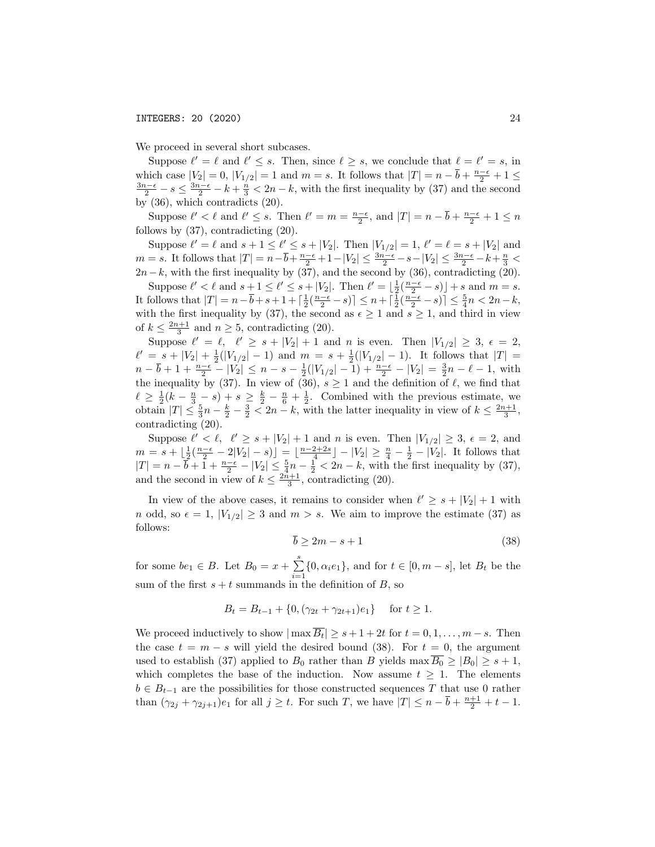We proceed in several short subcases.

Suppose  $\ell' = \ell$  and  $\ell' \leq s$ . Then, since  $\ell \geq s$ , we conclude that  $\ell = \ell' = s$ , in which case  $|V_2| = 0$ ,  $|V_{1/2}| = 1$  and  $m = s$ . It follows that  $|T| = n - \overline{b} + \frac{n-\epsilon}{2} + 1 \le$  $\frac{3n-\\epsilon}{2} - s \leq \frac{3n-\\epsilon}{2} - k + \frac{n}{3} < 2n - k$ , with the first inequality by (37) and the second by (36), which contradicts (20).

Suppose  $\ell' < \ell$  and  $\ell' \leq s$ . Then  $\ell' = m = \frac{n-\epsilon}{2}$ , and  $|T| = n - \overline{b} + \frac{n-\epsilon}{2} + 1 \leq n$ follows by (37), contradicting (20).

Suppose  $\ell' = \ell$  and  $s + 1 \leq \ell' \leq s + |V_2|$ . Then  $|V_{1/2}| = 1$ ,  $\ell' = \ell = s + |V_2|$  and  $m = s$ . It follows that  $|T| = n - \overline{b} + \frac{n - \epsilon}{2} + 1 - |V_2| \le \frac{3n - \epsilon}{2} - s - |V_2| \le \frac{3n - \epsilon}{2} - k + \frac{n}{3}$  $2n-k$ , with the first inequality by (37), and the second by (36), contradicting (20).

Suppose  $\ell' < \ell$  and  $s + 1 \leq \ell' \leq s + |V_2|$ . Then  $\ell' = \lfloor \frac{1}{2} (\frac{n-\epsilon}{2} - s) \rfloor + s$  and  $m = s$ . It follows that  $|T| = n - \overline{b} + s + 1 + \left[\frac{1}{2}(\frac{n-\epsilon}{2} - s)\right] \leq n + \left[\frac{1}{2}(\frac{n-\epsilon}{2} - s)\right] \leq \frac{5}{4}n < 2n - k$ , with the first inequality by (37), the second as  $\epsilon \geq 1$  and  $s \geq 1$ , and third in view of  $k \leq \frac{2n+1}{3}$  and  $n \geq 5$ , contradicting (20).

Suppose  $\ell' = \ell, \quad \ell' \geq s + |V_2| + 1$  and *n* is even. Then  $|V_{1/2}| \geq 3, \epsilon = 2$ ,  $\ell' = s + |V_2| + \frac{1}{2}(|V_{1/2}|-1)$  and  $m = s + \frac{1}{2}(|V_{1/2}|-1)$ . It follows that  $|T| =$  $n - \overline{b} + 1 + \frac{n - \epsilon}{2} - |V_2| \leq n - s - \frac{1}{2}(|V_{1/2}| - 1) + \frac{n - \epsilon}{2} - |V_2| = \frac{3}{2}n - \ell - 1$ , with the inequality by (37). In view of (36),  $s \ge 1$  and the definition of  $\ell$ , we find that  $\ell \geq \frac{1}{2}(k - \frac{n}{3} - s) + s \geq \frac{k}{2} - \frac{n}{6} + \frac{1}{2}$ . Combined with the previous estimate, we obtain  $|T| \leq \frac{5}{3}n - \frac{k}{2} - \frac{3}{2} < 2n - k$ , with the latter inequality in view of  $k \leq \frac{2n+1}{3}$ , contradicting (20).

Suppose  $\ell' < \ell$ ,  $\ell' \geq s + |V_2| + 1$  and *n* is even. Then  $|V_{1/2}| \geq 3$ ,  $\epsilon = 2$ , and  $m = s + \lfloor \frac{1}{2} (\frac{n-\epsilon}{2} - 2|V_2| - s) \rfloor = \lfloor \frac{n-2+2s}{4} \rfloor - |V_2| \ge \frac{n}{4} - \frac{1}{2} - |V_2|$ . It follows that  $|T| = n - \overline{b} + 1 + \frac{n - \epsilon}{2} - |V_2| \le \frac{5}{4}n - \frac{1}{2} < 2n - k$ , with the first inequality by (37), and the second in view of  $k \leq \frac{2n+1}{3}$ , contradicting (20).

In view of the above cases, it remains to consider when  $\ell' \geq s + |V_2| + 1$  with *n* odd, so  $\epsilon = 1$ ,  $|V_{1/2}| \geq 3$  and  $m > s$ . We aim to improve the estimate (37) as follows:

$$
\overline{b} \ge 2m - s + 1\tag{38}
$$

for some  $be_1 \in B$ . Let  $B_0 = x + \sum_{i=1}^{s} \{0, \alpha_i e_1\}$ , and for  $t \in [0, m - s]$ , let  $B_t$  be the sum of the first  $s + t$  summands in the definition of *B*, so

$$
B_t = B_{t-1} + \{0, (\gamma_{2t} + \gamma_{2t+1})e_1\} \quad \text{for } t \ge 1.
$$

We proceed inductively to show  $|\max \overline{B_t}| \geq s + 1 + 2t$  for  $t = 0, 1, \ldots, m - s$ . Then the case  $t = m - s$  will yield the desired bound (38). For  $t = 0$ , the argument used to establish (37) applied to  $B_0$  rather than *B* yields max  $\overline{B_0} \ge |B_0| \ge s + 1$ , which completes the base of the induction. Now assume  $t \geq 1$ . The elements  $b \in B_{t-1}$  are the possibilities for those constructed sequences *T* that use 0 rather than  $(\gamma_{2j} + \gamma_{2j+1})e_1$  for all  $j \ge t$ . For such *T*, we have  $|T| \le n - \overline{b} + \frac{n+1}{2} + t - 1$ .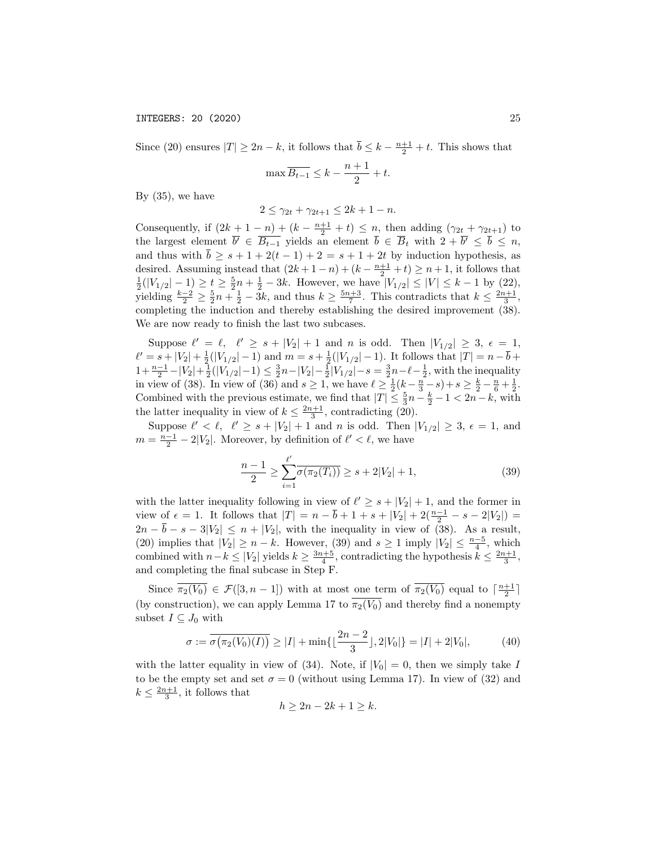Since (20) ensures  $|T| \ge 2n - k$ , it follows that  $\overline{b} \le k - \frac{n+1}{2} + t$ . This shows that

$$
\max \overline{B_{t-1}} \le k - \frac{n+1}{2} + t.
$$

By  $(35)$ , we have

$$
2 \le \gamma_{2t} + \gamma_{2t+1} \le 2k + 1 - n.
$$

Consequently, if  $(2k + 1 - n) + (k - \frac{n+1}{2} + t) \le n$ , then adding  $(\gamma_{2t} + \gamma_{2t+1})$  to the largest element  $b' \in B_{t-1}$  yields an element  $b \in B_t$  with  $2 + b' \leq b \leq n$ , and thus with  $\overline{b} \geq s + 1 + 2(t - 1) + 2 = s + 1 + 2t$  by induction hypothesis, as desired. Assuming instead that  $(2k + 1 - n) + (k - \frac{n+1}{2} + t) \ge n + 1$ , it follows that  $\frac{1}{2}(|V_{1/2}|-1) \ge t \ge \frac{5}{2}n + \frac{1}{2} - 3k$ . However, we have  $|V_{1/2}| \le |V| \le k - 1$  by (22), yielding  $\frac{k-2}{2} \ge \frac{5}{2}n + \frac{1}{2} - 3k$ , and thus  $k \ge \frac{5n+3}{7}$ . This contradicts that  $k \le \frac{2n+1}{3}$ , completing the induction and thereby establishing the desired improvement (38). We are now ready to finish the last two subcases.

Suppose  $\ell' = \ell, \quad \ell' \geq s + |V_2| + 1$  and *n* is odd. Then  $|V_{1/2}| \geq 3, \epsilon = 1$ ,  $\ell' = s + |V_2| + \frac{1}{2}(|V_{1/2}|-1)$  and  $m = s + \frac{1}{2}(|V_{1/2}|-1)$ . It follows that  $|T| = n - \overline{b} +$  $1 + \frac{n-1}{2} - |V_2| + \frac{1}{2}(|V_1/2| - 1) \le \frac{3}{2}n - |V_2| - \frac{1}{2}|V_1/2| - s = \frac{3}{2}n - \ell - \frac{1}{2}$ , with the inequality in view of (38). In view of (36) and  $s \ge 1$ , we have  $\ell \ge \frac{1}{2} (k - \frac{n}{3}, -s) + s \ge \frac{k}{2} - \frac{n}{6} + \frac{1}{2}$ . Combined with the previous estimate, we find that  $|T| \leq \frac{5}{3}n - \frac{k}{2} - 1 < 2n - k$ , with the latter inequality in view of  $k \leq \frac{2n+1}{3}$ , contradicting (20).

Suppose  $\ell' < \ell$ ,  $\ell' \geq s + |V_2| + 1$  and *n* is odd. Then  $|V_{1/2}| \geq 3$ ,  $\epsilon = 1$ , and  $m = \frac{n-1}{2} - 2|V_2|$ . Moreover, by definition of  $\ell' < \ell$ , we have

$$
\frac{n-1}{2} \ge \sum_{i=1}^{\ell'} \overline{\sigma(\pi_2(T_i))} \ge s + 2|V_2| + 1,\tag{39}
$$

with the latter inequality following in view of  $\ell' \geq s + |V_2| + 1$ , and the former in view of  $\epsilon = 1$ . It follows that  $|T| = n - \overline{b} + 1 + s + |V_2| + 2(\frac{n-1}{2} - s - 2|V_2|) =$  $2n - \overline{b} - s - 3|V_2| \leq n + |V_2|$ , with the inequality in view of (38). As a result, (20) implies that  $|V_2| \ge n - k$ . However, (39) and  $s \ge 1$  imply  $|V_2| \le \frac{n-5}{4}$ , which combined with  $n-k \leq |V_2|$  yields  $k \geq \frac{3n+5}{4}$ , contradicting the hypothesis  $k \leq \frac{2n+1}{3}$ , and completing the final subcase in Step F.

Since  $\overline{\pi_2(V_0)} \in \mathcal{F}([3, n-1])$  with at most <u>one term</u> of  $\overline{\pi_2(V_0)}$  equal to  $\lceil \frac{n+1}{2} \rceil$ (by construction), we can apply Lemma 17 to  $\overline{\pi_2(V_0)}$  and thereby find a nonempty subset  $I \subseteq J_0$  with

$$
\sigma := \overline{\sigma(\pi_2(V_0)(I))} \ge |I| + \min\{\lfloor \frac{2n-2}{3} \rfloor, 2|V_0|\} = |I| + 2|V_0|,\tag{40}
$$

with the latter equality in view of (34). Note, if  $|V_0| = 0$ , then we simply take *I* to be the empty set and set  $\sigma = 0$  (without using Lemma 17). In view of (32) and  $k \leq \frac{2n+1}{3}$ , it follows that

$$
h \ge 2n - 2k + 1 \ge k.
$$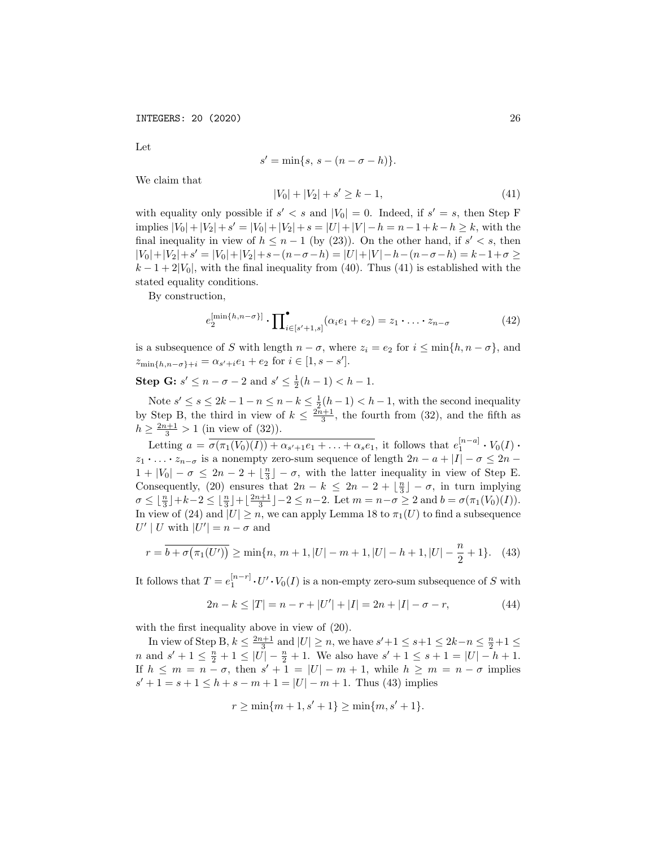Let

$$
s' = \min\{s, s - (n - \sigma - h)\}.
$$

We claim that

$$
|V_0| + |V_2| + s' \ge k - 1,\tag{41}
$$

with equality only possible if  $s' < s$  and  $|V_0| = 0$ . Indeed, if  $s' = s$ , then Step F implies  $|V_0| + |V_2| + s' = |V_0| + |V_2| + s = |U| + |V| - h = n - 1 + k - h \geq k$ , with the final inequality in view of  $h \leq n-1$  (by (23)). On the other hand, if  $s' < s$ , then  $|V_0|+|V_2|+s'|=|V_0|+|V_2|+s-(n-\sigma-h)=|U|+|V|-h-(n-\sigma-h)=k-1+\sigma\geq$  $k-1+2|V_0|$ , with the final inequality from (40). Thus (41) is established with the stated equality conditions.

By construction,

$$
e_2^{\left[\min\{h,n-\sigma\}\right]} \cdot \prod_{i \in [s'+1,s]}^{\bullet} (\alpha_i e_1 + e_2) = z_1 \cdot \ldots \cdot z_{n-\sigma} \tag{42}
$$

is a subsequence of *S* with length  $n - \sigma$ , where  $z_i = e_2$  for  $i \le \min\{h, n - \sigma\}$ , and  $z_{\min\{h,n-\sigma\}+i} = \alpha_{s'+i}e_1 + e_2$  for  $i \in [1, s-s']$ .

**Step G:**  $s' \le n - \sigma - 2$  and  $s' \le \frac{1}{2}(h-1) < h-1$ .

Note  $s' \leq s \leq 2k - 1 - n \leq n - k \leq \frac{1}{2}(h - 1) < h - 1$ , with the second inequality by Step B, the third in view of  $k \leq \frac{2n+1}{3}$ , the fourth from (32), and the fifth as  $h \ge \frac{2n+1}{3} > 1$  (in view of (32)).

Letting  $a = \overline{\sigma(\pi_1(V_0)(I)) + \alpha_{s'+1}e_1 + \ldots + \alpha_s e_1}$ , it follows that  $e_1^{[n-a]} \cdot V_0(I) \cdot$  $z_1 \cdot \ldots \cdot z_{n-\sigma}$  is a nonempty zero-sum sequence of length  $2n - a + |I| - \sigma \leq 2n - a$  $1 + |V_0| - \sigma \leq 2n - 2 + \lfloor \frac{n}{3} \rfloor - \sigma$ , with the latter inequality in view of Step E. Consequently, (20) ensures that  $2n - k \leq 2n - 2 + \lfloor \frac{n}{3} \rfloor - \sigma$ , in turn implying  $\sigma \leq \lfloor \frac{n}{3} \rfloor + k - 2 \leq \lfloor \frac{n}{3} \rfloor + \lfloor \frac{2n+1}{3} \rfloor - 2 \leq n-2$ . Let  $m = n - \sigma \geq 2$  and  $b = \sigma(\pi_1(V_0)(I)).$ In view of (24) and  $|U| \geq n$ , we can apply Lemma 18 to  $\pi_1(U)$  to find a subsequence  $U' | U$  with  $|U'| = n - \sigma$  and

$$
r = \overline{b + \sigma(\pi_1(U'))} \ge \min\{n, \, m+1, |U| - m + 1, |U| - h + 1, |U| - \frac{n}{2} + 1\}.\tag{43}
$$

It follows that  $T = e_1^{[n-r]} \cdot U' \cdot V_0(I)$  is a non-empty zero-sum subsequence of *S* with

$$
2n - k \le |T| = n - r + |U'| + |I| = 2n + |I| - \sigma - r,\tag{44}
$$

with the first inequality above in view of (20).

In view of Step B,  $k \leq \frac{2n+1}{3}$  and  $|U| \geq n$ , we have  $s' + 1 \leq s + 1 \leq 2k - n \leq \frac{n}{2} + 1 \leq$ *n* and  $s' + 1 \leq \frac{n}{2} + 1 \leq |U| - \frac{n}{2} + 1$ . We also have  $s' + 1 \leq s + 1 = |U| - h + 1$ . If  $h \leq m = n - \sigma$ , then  $s' + 1 = |U| - m + 1$ , while  $h \geq m = n - \sigma$  implies  $s' + 1 = s + 1 \le h + s - m + 1 = |U| - m + 1$ . Thus (43) implies

$$
r \ge \min\{m+1, s'+1\} \ge \min\{m, s'+1\}.
$$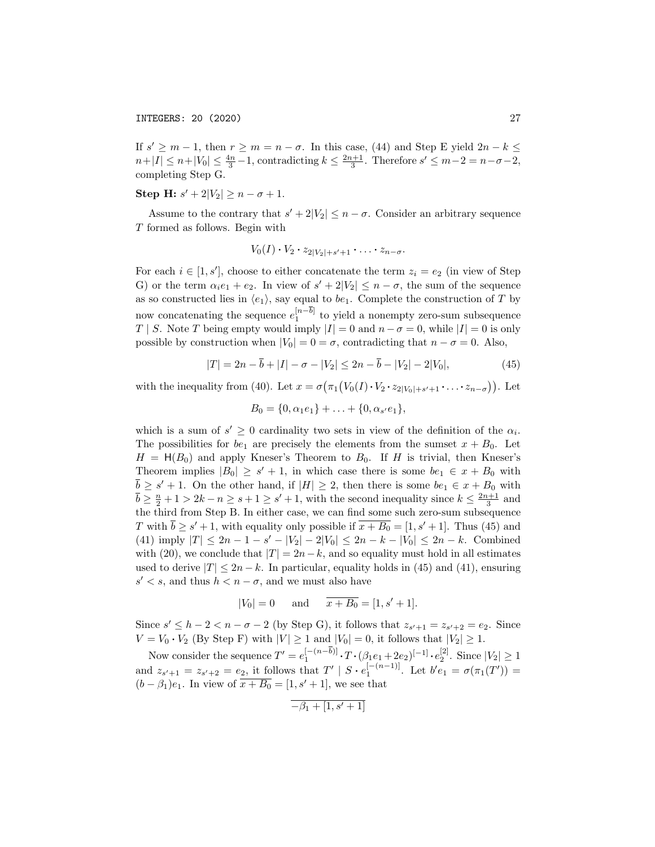If  $s' \geq m-1$ , then  $r \geq m = n - \sigma$ . In this case, (44) and Step E yield  $2n - k \leq$  $n+|I| \leq n+|V_0| \leq \frac{4n}{3}-1$ , contradicting  $k \leq \frac{2n+1}{3}$ . Therefore  $s' \leq m-2 = n-\sigma-2$ , completing Step G.

Step H:  $s' + 2|V_2| \geq n - \sigma + 1$ .

Assume to the contrary that  $s' + 2|V_2| \leq n - \sigma$ . Consider an arbitrary sequence *T* formed as follows. Begin with

$$
V_0(I)\cdot V_2\cdot z_{2|V_2|+s'+1}\cdot\ldots\cdot z_{n-\sigma}.
$$

For each  $i \in [1, s']$ , choose to either concatenate the term  $z_i = e_2$  (in view of Step G) or the term  $\alpha_i e_1 + e_2$ . In view of  $s' + 2|V_2| \leq n - \sigma$ , the sum of the sequence as so constructed lies in  $\langle e_1 \rangle$ , say equal to *be*<sub>1</sub>. Complete the construction of *T* by now concatenating the sequence  $e_1^{[n-b]}$  to yield a nonempty zero-sum subsequence *T* | *S*. Note *T* being empty would imply  $|I| = 0$  and  $n - \sigma = 0$ , while  $|I| = 0$  is only possible by construction when  $|V_0| = 0 = \sigma$ , contradicting that  $n - \sigma = 0$ . Also,

$$
|T| = 2n - \overline{b} + |I| - \sigma - |V_2| \le 2n - \overline{b} - |V_2| - 2|V_0|,
$$
\n(45)

with the inequality from (40). Let  $x = \sigma(\pi_1(V_0(I) \cdot V_2 \cdot z_{2|V_0|+s'+1} \cdot \ldots \cdot z_{n-\sigma})$ ). Let

$$
B_0 = \{0, \alpha_1 e_1\} + \ldots + \{0, \alpha_{s'} e_1\},\
$$

which is a sum of  $s' \geq 0$  cardinality two sets in view of the definition of the  $\alpha_i$ . The possibilities for  $be_1$  are precisely the elements from the sumset  $x + B_0$ . Let  $H = H(B_0)$  and apply Kneser's Theorem to  $B_0$ . If *H* is trivial, then Kneser's Theorem implies  $|B_0| \geq s' + 1$ , in which case there is some  $be_1 \in x + B_0$  with  $\overline{b} \geq s' + 1$ . On the other hand, if  $|H| \geq 2$ , then there is some  $be_1 \in x + B_0$  with  $\overline{b} \geq \frac{n}{2} + 1 > 2k - n \geq s + 1 \geq s' + 1$ , with the second inequality since  $k \leq \frac{2n+1}{3}$  and the third from Step B. In either case, we can find some such zero-sum subsequence *T* with  $\overline{b} \ge s' + 1$ , with equality only possible if  $\overline{x + B_0} = [1, s' + 1]$ . Thus (45) and  $(41)$  imply  $|T| \leq 2n - 1 - s' - |V_2| - 2|V_0| \leq 2n - k - |V_0| \leq 2n - k$ . Combined with (20), we conclude that  $|T| = 2n - k$ , and so equality must hold in all estimates used to derive  $|T| \leq 2n - k$ . In particular, equality holds in (45) and (41), ensuring  $s' < s$ , and thus  $h < n - \sigma$ , and we must also have

$$
|V_0| = 0
$$
 and  $\overline{x + B_0} = [1, s' + 1].$ 

Since  $s' \leq h - 2 < n - \sigma - 2$  (by Step G), it follows that  $z_{s'+1} = z_{s'+2} = e_2$ . Since  $V = V_0 \cdot V_2$  (By Step F) with  $|V| \ge 1$  and  $|V_0| = 0$ , it follows that  $|V_2| \ge 1$ .

Now consider the sequence  $T' = e_1^{[-(n-b)]} \cdot T \cdot (\beta_1 e_1 + 2\beta_2)^{[-1]} \cdot e_2^{[2]}$ . Since  $|V_2| \ge 1$ and  $z_{s'+1} = z_{s'+2} = e_2$ , it follows that  $T' | S \cdot e_1^{[-(n-1)]}$ . Let  $b'e_1 = \sigma(\pi_1(T')) =$  $(b - \beta_1)e_1$ . In view of  $\overline{x + B_0} = [1, s' + 1]$ , we see that

$$
-\beta_1 + [1,s'+1]
$$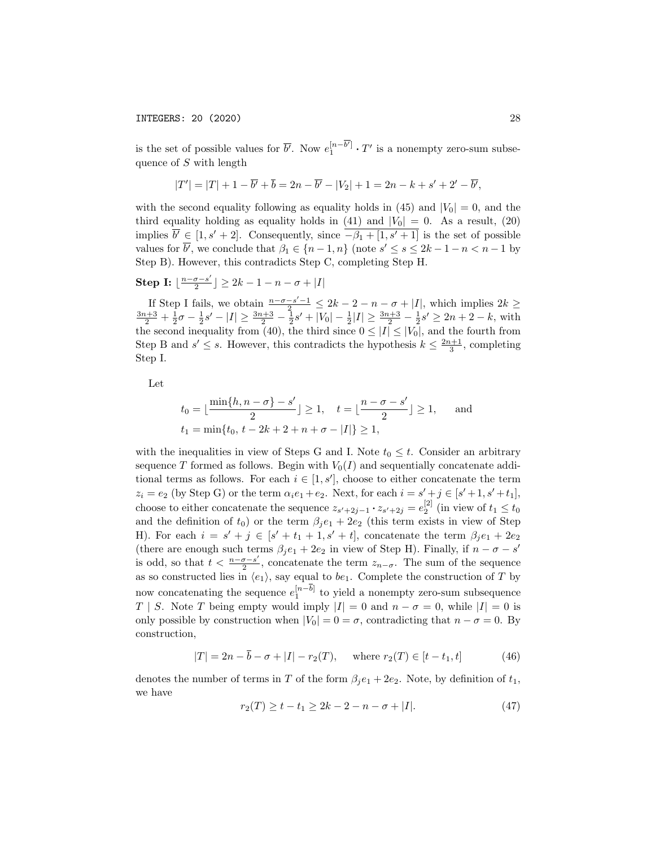is the set of possible values for  $\overline{b'}$ . Now  $e_1^{[n-b']} \cdot T'$  is a nonempty zero-sum subsequence of *S* with length

$$
|T'| = |T| + 1 - \overline{b'} + \overline{b} = 2n - \overline{b'} - |V_2| + 1 = 2n - k + s' + 2' - \overline{b'},
$$

with the second equality following as equality holds in  $(45)$  and  $|V_0| = 0$ , and the third equality holding as equality holds in  $(41)$  and  $|V_0| = 0$ . As a result,  $(20)$ implies  $\overline{b}^{\prime} \in [1, s^{\prime} + 2]$ . Consequently, since  $\overline{-\beta_1 + [1, s^{\prime} + 1]}$  is the set of possible values for *b'*, we conclude that  $\beta_1 \in \{n-1, n\}$  (note  $s' \leq s \leq 2k - 1 - n < n - 1$  by Step B). However, this contradicts Step C, completing Step H.

Step I: 
$$
\lfloor \frac{n-\sigma-s'}{2}\rfloor \geq 2k-1-n-\sigma+|I|
$$

If Step I fails, we obtain  $\frac{n-\sigma-s'-1}{2} \leq 2k-2-n-\sigma+|I|$ , which implies  $2k \geq \frac{3n+3}{2} + \frac{1}{2}\sigma - \frac{1}{2}s' - |I| \geq \frac{3n+3}{2} - \frac{1}{2}s' + |V_0| - \frac{1}{2}|I| \geq \frac{3n+3}{2} - \frac{1}{2}s' \geq 2n+2-k$ , with the second inequality from (40), the third since  $0 \leq |I| \leq |V_0|$ , and the fourth from Step B and  $s' \leq s$ . However, this contradicts the hypothesis  $k \leq \frac{2n+1}{3}$ , completing Step I.

Let

$$
t_0 = \lfloor \frac{\min\{h, n - \sigma\} - s'}{2} \rfloor \ge 1, \quad t = \lfloor \frac{n - \sigma - s'}{2} \rfloor \ge 1, \quad \text{and}
$$
  

$$
t_1 = \min\{t_0, t - 2k + 2 + n + \sigma - |I|\} \ge 1,
$$

with the inequalities in view of Steps G and I. Note  $t_0 \leq t$ . Consider an arbitrary sequence *T* formed as follows. Begin with  $V_0(I)$  and sequentially concatenate additional terms as follows. For each  $i \in [1, s']$ , choose to either concatenate the term  $z_i = e_2$  (by Step G) or the term  $\alpha_i e_1 + e_2$ . Next, for each  $i = s' + j \in [s' + 1, s' + t_1]$ , choose to either concatenate the sequence  $z_{s'+2j-1} \cdot z_{s'+2j} = e_2^{[2]}$  (in view of  $t_1 \le t_0$ ) and the definition of  $t_0$ ) or the term  $\beta_j e_1 + 2e_2$  (this term exists in view of Step H). For each  $i = s' + j \in [s' + t_1 + 1, s' + t]$ , concatenate the term  $\beta_j e_1 + 2e_2$ (there are enough such terms  $\beta_j e_1 + 2e_2$  in view of Step H). Finally, if  $n - \sigma - s'$ is odd, so that  $t < \frac{n-\sigma-s'}{2}$ , concatenate the term  $z_{n-\sigma}$ . The sum of the sequence as so constructed lies in  $\langle e_1 \rangle$ , say equal to *be*<sub>1</sub>. Complete the construction of *T* by now concatenating the sequence  $e_1^{[n-b]}$  to yield a nonempty zero-sum subsequence *T | S*. Note *T* being empty would imply  $|I| = 0$  and  $n - \sigma = 0$ , while  $|I| = 0$  is only possible by construction when  $|V_0| = 0 = \sigma$ , contradicting that  $n - \sigma = 0$ . By construction,

$$
|T| = 2n - \overline{b} - \sigma + |I| - r_2(T), \quad \text{where } r_2(T) \in [t - t_1, t]
$$
 (46)

denotes the number of terms in *T* of the form  $\beta_i e_1 + 2e_2$ . Note, by definition of  $t_1$ , we have

$$
r_2(T) \ge t - t_1 \ge 2k - 2 - n - \sigma + |I|.
$$
 (47)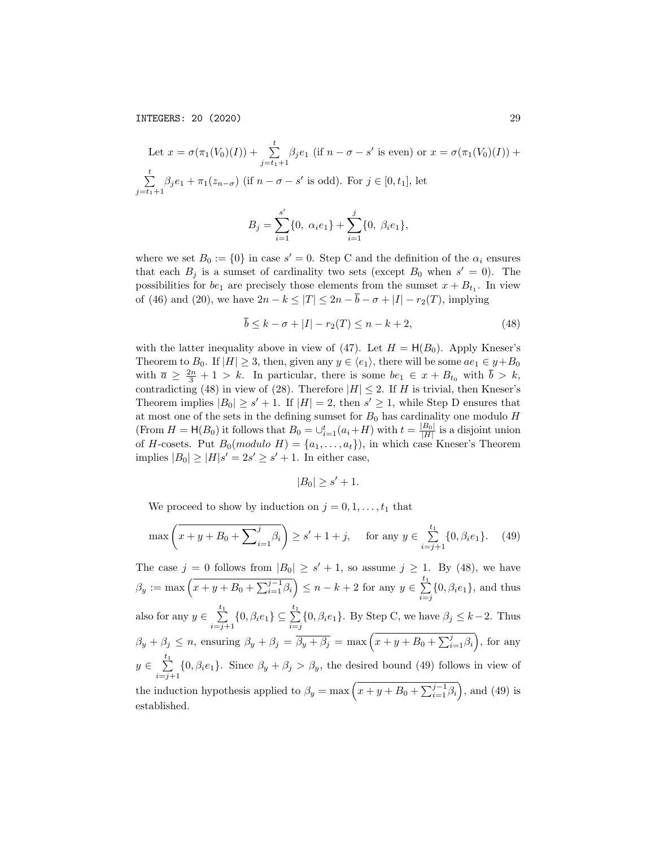Let  $x = \sigma(\pi_1(V_0)(I)) + \sum_{j=t_1+1}^{t} \beta_j e_1$  (if  $n - \sigma - s'$  is even) or  $x = \sigma(\pi_1(V_0)(I)) +$  $\sum_{i=1}^{t}$  $\sum_{j=t_1+1} \beta_j e_1 + \pi_1(z_{n-\sigma})$  (if  $n-\sigma-s'$  is odd). For  $j \in [0, t_1]$ , let

$$
B_j = \sum_{i=1}^{s'} \{0, \alpha_i e_1\} + \sum_{i=1}^{j} \{0, \beta_i e_1\},
$$

where we set  $B_0 := \{0\}$  in case  $s' = 0$ . Step C and the definition of the  $\alpha_i$  ensures that each  $B_i$  is a sumset of cardinality two sets (except  $B_0$  when  $s' = 0$ ). The possibilities for  $be_1$  are precisely those elements from the sumset  $x + B_{t_1}$ . In view of (46) and (20), we have  $2n - k \leq |T| \leq 2n - \overline{b} - \sigma + |I| - r_2(T)$ , implying

$$
\overline{b} \le k - \sigma + |I| - r_2(T) \le n - k + 2,\tag{48}
$$

with the latter inequality above in view of (47). Let  $H = H(B_0)$ . Apply Kneser's Theorem to  $B_0$ . If  $|H| \geq 3$ , then, given any  $y \in \langle e_1 \rangle$ , there will be some  $ae_1 \in y + B_0$ with  $\overline{a} \geq \frac{2n}{3} + 1 > k$ . In particular, there is some  $be_1 \in x + B_{t_0}$  with  $\overline{b} > k$ , contradicting (48) in view of (28). Therefore  $|H| \leq 2$ . If *H* is trivial, then Kneser's Theorem implies  $|B_0| \geq s' + 1$ . If  $|H| = 2$ , then  $s' \geq 1$ , while Step D ensures that at most one of the sets in the defining sumset for  $B_0$  has cardinality one modulo  $H$ (From  $H = \mathsf{H}(B_0)$  it follows that  $B_0 = \bigcup_{i=1}^t (a_i + H)$  with  $t = \frac{|B_0|}{|H|}$  is a disjoint union of *H*-cosets. Put  $B_0$ (*modulo H*) = { $a_1, \ldots, a_t$ }), in which case Kneser's Theorem implies  $|B_0| \geq |H|s' = 2s' \geq s' + 1$ . In either case,

$$
|B_0| \ge s' + 1.
$$

We proceed to show by induction on  $j = 0, 1, \ldots, t_1$  that

$$
\max\left(x+y+B_0+\sum_{i=1}^j\beta_i\right)\ge s'+1+j,\quad \text{ for any } y\in \sum_{i=j+1}^{t_1}\{0,\beta_i e_1\}.\tag{49}
$$

The case  $j = 0$  follows from  $|B_0| \geq s' + 1$ , so assume  $j \geq 1$ . By (48), we have  $\beta_y := \max\left(x + y + B_0 + \sum_{i=1}^{j-1} \beta_i\right) \le n - k + 2$  for any  $y \in \sum_{i=j}^{t_1} \{0, \beta_i e_1\}$ , and thus also for any  $y \in \sum_{i=j+1}^{t_1} \{0, \beta_i e_1\} \subseteq \sum_{i=j}^{t_1} \{0, \beta_i e_1\}$ . By Step C, we have  $\beta_j \le k-2$ . Thus  $\beta_y + \beta_j \le n$ , ensuring  $\beta_y + \beta_j = \overline{\beta_y + \beta_j} = \max\left(x + y + B_0 + \sum_{i=1}^j \beta_i\right)$ , for any  $y \in \sum_{i=j+1}^{t_1} \{0, \beta_i e_1\}$ . Since  $\beta_y + \beta_j > \beta_y$ , the desired bound (49) follows in view of the induction hypothesis applied to  $\beta_y = \max\left(x + y + B_0 + \sum_{i=1}^{j-1} \beta_i\right)$ , and (49) is established.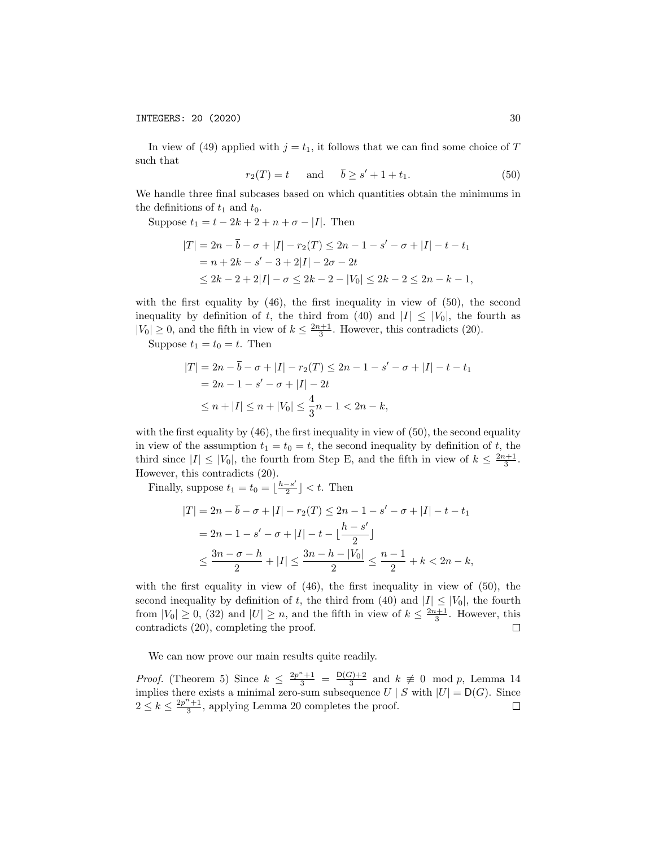In view of (49) applied with  $j = t_1$ , it follows that we can find some choice of *T* such that

$$
r_2(T) = t \quad \text{and} \quad \overline{b} \ge s' + 1 + t_1. \tag{50}
$$

We handle three final subcases based on which quantities obtain the minimums in the definitions of  $t_1$  and  $t_0$ .

Suppose  $t_1 = t - 2k + 2 + n + \sigma - |I|$ . Then

$$
|T| = 2n - \overline{b} - \sigma + |I| - r_2(T) \le 2n - 1 - s' - \sigma + |I| - t - t_1
$$
  
=  $n + 2k - s' - 3 + 2|I| - 2\sigma - 2t$   
 $\le 2k - 2 + 2|I| - \sigma \le 2k - 2 - |V_0| \le 2k - 2 \le 2n - k - 1,$ 

with the first equality by (46), the first inequality in view of (50), the second inequality by definition of *t*, the third from (40) and  $|I| \leq |V_0|$ , the fourth as  $|V_0| \ge 0$ , and the fifth in view of  $k \le \frac{2n+1}{3}$ . However, this contradicts (20).

Suppose  $t_1 = t_0 = t$ . Then

$$
|T| = 2n - \overline{b} - \sigma + |I| - r_2(T) \le 2n - 1 - s' - \sigma + |I| - t - t_1
$$
  
= 2n - 1 - s' - \sigma + |I| - 2t  

$$
\le n + |I| \le n + |V_0| \le \frac{4}{3}n - 1 < 2n - k,
$$

with the first equality by (46), the first inequality in view of (50), the second equality in view of the assumption  $t_1 = t_0 = t$ , the second inequality by definition of *t*, the third since  $|I| \leq |V_0|$ , the fourth from Step E, and the fifth in view of  $k \leq \frac{2n+1}{3}$ . However, this contradicts (20).

Finally, suppose  $t_1 = t_0 = \lfloor \frac{h - s'}{2} \rfloor < t$ . Then

$$
|T| = 2n - \overline{b} - \sigma + |I| - r_2(T) \le 2n - 1 - s' - \sigma + |I| - t - t_1
$$
  
= 2n - 1 - s' - \sigma + |I| - t - \lfloor \frac{h - s'}{2} \rfloor  

$$
\le \frac{3n - \sigma - h}{2} + |I| \le \frac{3n - h - |V_0|}{2} \le \frac{n - 1}{2} + k < 2n - k,
$$

with the first equality in view of  $(46)$ , the first inequality in view of  $(50)$ , the second inequality by definition of t, the third from (40) and  $|I| \leq |V_0|$ , the fourth from  $|V_0| \ge 0$ , (32) and  $|U| \ge n$ , and the fifth in view of  $k \le \frac{2n+1}{3}$ . However, this contradicts (20), completing the proof.

We can now prove our main results quite readily.

*Proof.* (Theorem 5) Since  $k \leq \frac{2p^n+1}{3} = \frac{D(G)+2}{3}$  and  $k \not\equiv 0 \mod p$ , Lemma 14 implies there exists a minimal zero-sum subsequence  $U \mid S$  with  $|U| = D(G)$ . Since  $2 \leq k \leq \frac{2p^n+1}{3}$ , applying Lemma 20 completes the proof.